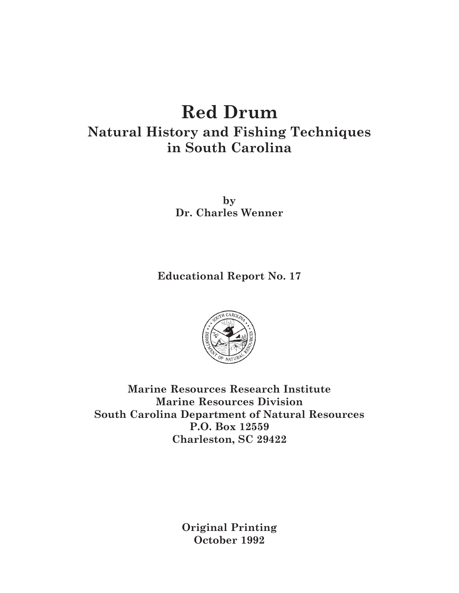# **Red Drum**

## **Natural History and Fishing Techniques in South Carolina**

**by Dr. Charles Wenner**

**Educational Report No. 17**



**Marine Resources Research Institute Marine Resources Division South Carolina Department of Natural Resources P.O. Box 12559 Charleston, SC 29422**

> **Original Printing October 1992**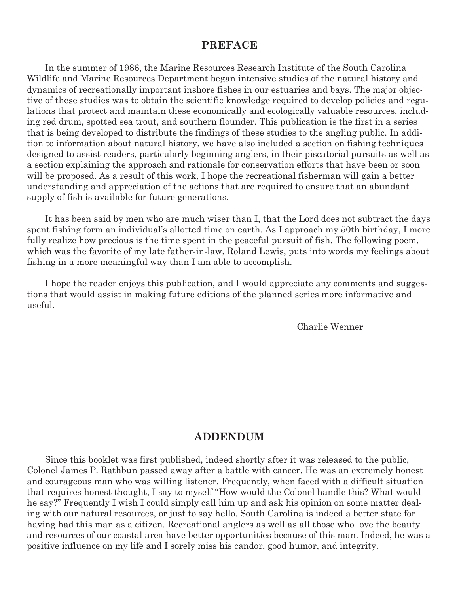#### **PREFACE**

In the summer of 1986, the Marine Resources Research Institute of the South Carolina Wildlife and Marine Resources Department began intensive studies of the natural history and dynamics of recreationally important inshore fishes in our estuaries and bays. The major objective of these studies was to obtain the scientific knowledge required to develop policies and regulations that protect and maintain these economically and ecologically valuable resources, including red drum, spotted sea trout, and southern flounder. This publication is the first in a series that is being developed to distribute the findings of these studies to the angling public. In addition to information about natural history, we have also included a section on fishing techniques designed to assist readers, particularly beginning anglers, in their piscatorial pursuits as well as a section explaining the approach and rationale for conservation efforts that have been or soon will be proposed. As a result of this work, I hope the recreational fisherman will gain a better understanding and appreciation of the actions that are required to ensure that an abundant supply of fish is available for future generations.

It has been said by men who are much wiser than I, that the Lord does not subtract the days spent fishing form an individual's allotted time on earth. As I approach my 50th birthday, I more fully realize how precious is the time spent in the peaceful pursuit of fish. The following poem, which was the favorite of my late father-in-law, Roland Lewis, puts into words my feelings about fishing in a more meaningful way than I am able to accomplish.

I hope the reader enjoys this publication, and I would appreciate any comments and suggestions that would assist in making future editions of the planned series more informative and useful.

Charlie Wenner

#### **ADDENDUM**

Since this booklet was first published, indeed shortly after it was released to the public, Colonel James P. Rathbun passed away after a battle with cancer. He was an extremely honest and courageous man who was willing listener. Frequently, when faced with a difficult situation that requires honest thought, I say to myself "How would the Colonel handle this? What would he say?" Frequently I wish I could simply call him up and ask his opinion on some matter dealing with our natural resources, or just to say hello. South Carolina is indeed a better state for having had this man as a citizen. Recreational anglers as well as all those who love the beauty and resources of our coastal area have better opportunities because of this man. Indeed, he was a positive influence on my life and I sorely miss his candor, good humor, and integrity.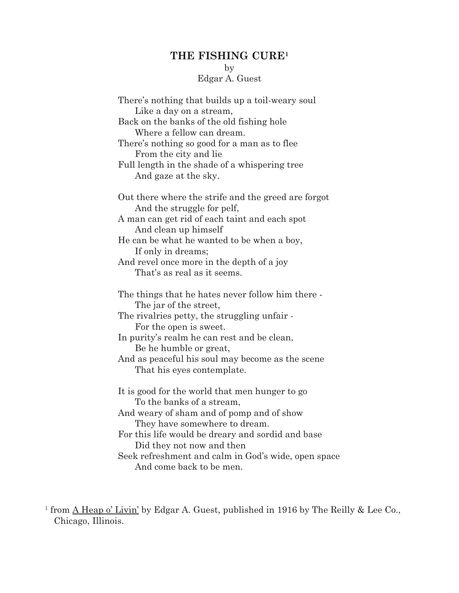## **THE FISHING CURE1**

## by

## Edgar A. Guest

| There's nothing that builds up a toil-weary soul                       |
|------------------------------------------------------------------------|
| Like a day on a stream,<br>Back on the banks of the old fishing hole   |
| Where a fellow can dream.                                              |
| There's nothing so good for a man as to flee                           |
| From the city and lie                                                  |
| Full length in the shade of a whispering tree                          |
| And gaze at the sky.                                                   |
| Out there where the strife and the greed are forgot                    |
| And the struggle for pelf,                                             |
| A man can get rid of each taint and each spot<br>And clean up himself  |
| He can be what he wanted to be when a boy,                             |
| If only in dreams;                                                     |
| And revel once more in the depth of a joy                              |
| That's as real as it seems.                                            |
| The things that he hates never follow him there -                      |
| The jar of the street,                                                 |
| The rivalries petty, the struggling unfair -<br>For the open is sweet. |
| In purity's realm he can rest and be clean,                            |
| Be he humble or great,                                                 |
| And as peaceful his soul may become as the scene                       |
| That his eyes contemplate.                                             |
| It is good for the world that men hunger to go                         |
| To the banks of a stream,                                              |
| And weary of sham and of pomp and of show                              |
| They have somewhere to dream.                                          |
| For this life would be dreary and sordid and base                      |
| Did they not now and then                                              |
| Seek refreshment and calm in God's wide, open space                    |
| And come back to be men.                                               |

<sup>&</sup>lt;sup>1</sup> from  $\underline{A}$  Heap o' Livin' by Edgar A. Guest, published in 1916 by The Reilly & Lee Co., Chicago, Illinois.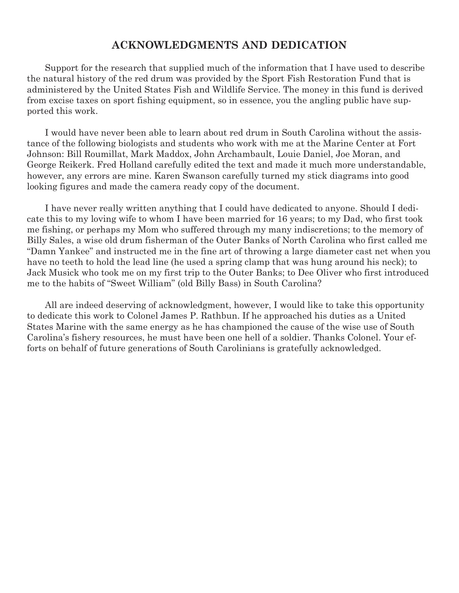### **ACKNOWLEDGMENTS AND DEDICATION**

Support for the research that supplied much of the information that I have used to describe the natural history of the red drum was provided by the Sport Fish Restoration Fund that is administered by the United States Fish and Wildlife Service. The money in this fund is derived from excise taxes on sport fishing equipment, so in essence, you the angling public have supported this work.

I would have never been able to learn about red drum in South Carolina without the assistance of the following biologists and students who work with me at the Marine Center at Fort Johnson: Bill Roumillat, Mark Maddox, John Archambault, Louie Daniel, Joe Moran, and George Reikerk. Fred Holland carefully edited the text and made it much more understandable, however, any errors are mine. Karen Swanson carefully turned my stick diagrams into good looking figures and made the camera ready copy of the document.

I have never really written anything that I could have dedicated to anyone. Should I dedicate this to my loving wife to whom I have been married for 16 years; to my Dad, who first took me fishing, or perhaps my Mom who suffered through my many indiscretions; to the memory of Billy Sales, a wise old drum fisherman of the Outer Banks of North Carolina who first called me "Damn Yankee" and instructed me in the fine art of throwing a large diameter cast net when you have no teeth to hold the lead line (he used a spring clamp that was hung around his neck); to Jack Musick who took me on my first trip to the Outer Banks; to Dee Oliver who first introduced me to the habits of "Sweet William" (old Billy Bass) in South Carolina?

All are indeed deserving of acknowledgment, however, I would like to take this opportunity to dedicate this work to Colonel James P. Rathbun. If he approached his duties as a United States Marine with the same energy as he has championed the cause of the wise use of South Carolina's fishery resources, he must have been one hell of a soldier. Thanks Colonel. Your efforts on behalf of future generations of South Carolinians is gratefully acknowledged.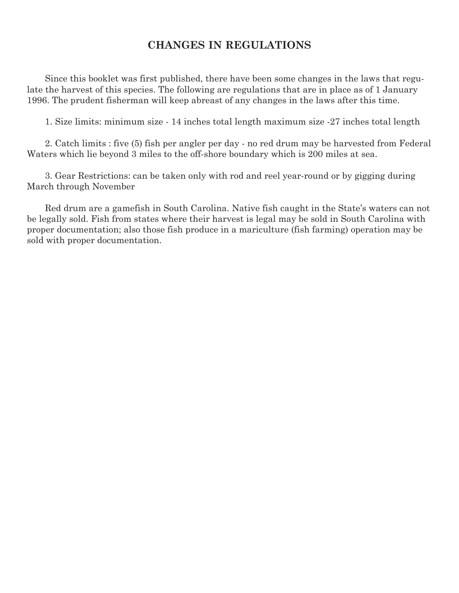## **CHANGES IN REGULATIONS**

Since this booklet was first published, there have been some changes in the laws that regulate the harvest of this species. The following are regulations that are in place as of 1 January 1996. The prudent fisherman will keep abreast of any changes in the laws after this time.

1. Size limits: minimum size - 14 inches total length maximum size -27 inches total length

2. Catch limits : five (5) fish per angler per day - no red drum may be harvested from Federal Waters which lie beyond 3 miles to the off-shore boundary which is 200 miles at sea.

3. Gear Restrictions: can be taken only with rod and reel year-round or by gigging during March through November

Red drum are a gamefish in South Carolina. Native fish caught in the State's waters can not be legally sold. Fish from states where their harvest is legal may be sold in South Carolina with proper documentation; also those fish produce in a mariculture (fish farming) operation may be sold with proper documentation.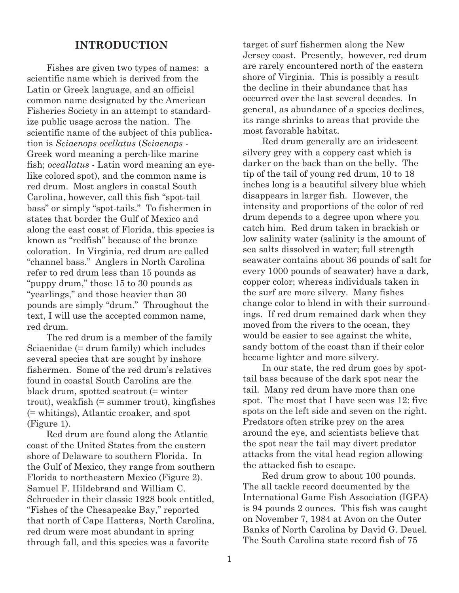#### **INTRODUCTION**

Fishes are given two types of names: a scientific name which is derived from the Latin or Greek language, and an official common name designated by the American Fisheries Society in an attempt to standardize public usage across the nation. The scientific name of the subject of this publication is *Sciaenops ocellatus* (*Sciaenops* - Greek word meaning a perch-like marine fish; *oceallatus* - Latin word meaning an eyelike colored spot), and the common name is red drum. Most anglers in coastal South Carolina, however, call this fish "spot-tail bass" or simply "spot-tails." To fishermen in states that border the Gulf of Mexico and along the east coast of Florida, this species is known as "redfish" because of the bronze coloration. In Virginia, red drum are called "channel bass." Anglers in North Carolina refer to red drum less than 15 pounds as "puppy drum," those 15 to 30 pounds as "yearlings," and those heavier than 30 pounds are simply "drum." Throughout the text, I will use the accepted common name, red drum.

The red drum is a member of the family Sciaenidae (= drum family) which includes several species that are sought by inshore fishermen. Some of the red drum's relatives found in coastal South Carolina are the black drum, spotted seatrout (= winter trout), weakfish (= summer trout), kingfishes (= whitings), Atlantic croaker, and spot (Figure 1).

Red drum are found along the Atlantic coast of the United States from the eastern shore of Delaware to southern Florida. In the Gulf of Mexico, they range from southern Florida to northeastern Mexico (Figure 2). Samuel F. Hildebrand and William C. Schroeder in their classic 1928 book entitled, "Fishes of the Chesapeake Bay," reported that north of Cape Hatteras, North Carolina, red drum were most abundant in spring through fall, and this species was a favorite

target of surf fishermen along the New Jersey coast. Presently, however, red drum are rarely encountered north of the eastern shore of Virginia. This is possibly a result the decline in their abundance that has occurred over the last several decades. In general, as abundance of a species declines, its range shrinks to areas that provide the most favorable habitat.

Red drum generally are an iridescent silvery grey with a coppery cast which is darker on the back than on the belly. The tip of the tail of young red drum, 10 to 18 inches long is a beautiful silvery blue which disappears in larger fish. However, the intensity and proportions of the color of red drum depends to a degree upon where you catch him. Red drum taken in brackish or low salinity water (salinity is the amount of sea salts dissolved in water; full strength seawater contains about 36 pounds of salt for every 1000 pounds of seawater) have a dark, copper color; whereas individuals taken in the surf are more silvery. Many fishes change color to blend in with their surroundings. If red drum remained dark when they moved from the rivers to the ocean, they would be easier to see against the white, sandy bottom of the coast than if their color became lighter and more silvery.

In our state, the red drum goes by spottail bass because of the dark spot near the tail. Many red drum have more than one spot. The most that I have seen was 12: five spots on the left side and seven on the right. Predators often strike prey on the area around the eye, and scientists believe that the spot near the tail may divert predator attacks from the vital head region allowing the attacked fish to escape.

Red drum grow to about 100 pounds. The all tackle record documented by the International Game Fish Association (IGFA) is 94 pounds 2 ounces. This fish was caught on November 7, 1984 at Avon on the Outer Banks of North Carolina by David G. Deuel. The South Carolina state record fish of 75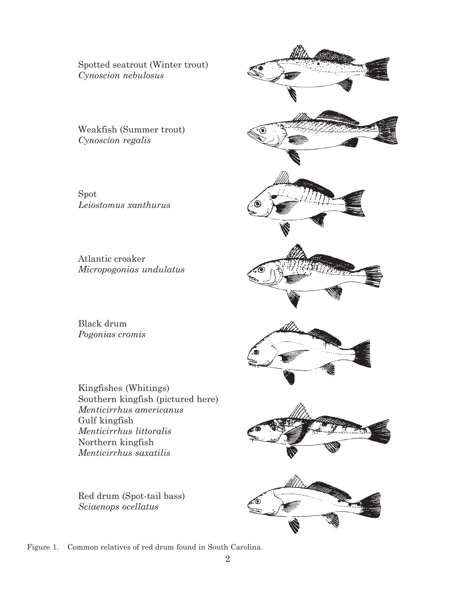Spotted seatrout (Winter trout) *Cynoscion nebulosus*

Weakfish (Summer trout) *Cynoscion regalis*

Spot *Leiostomus xanthurus*

Atlantic croaker *Micropogonias undulatus*

Black drum *Pogonias cromis*

Kingfishes (Whitings) Southern kingfish (pictured here) *Menticirrhus americanus* Gulf kingfish *Menticirrhus littoralis* Northern kingfish *Menticirrhus saxatilis*

Red drum (Spot-tail bass) *Sciaenops ocellatus*



Figure 1. Common relatives of red drum found in South Carolina.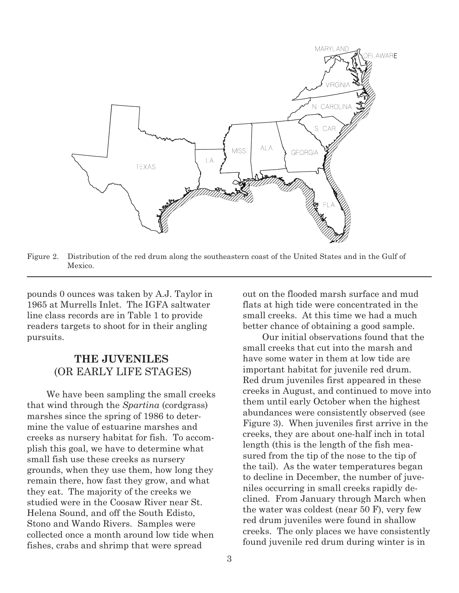

Figure 2. Distribution of the red drum along the southeastern coast of the United States and in the Gulf of Mexico.

pounds 0 ounces was taken by A.J. Taylor in 1965 at Murrells Inlet. The IGFA saltwater line class records are in Table 1 to provide readers targets to shoot for in their angling pursuits.

## **THE JUVENILES** (OR EARLY LIFE STAGES)

We have been sampling the small creeks that wind through the *Spartina* (cordgrass) marshes since the spring of 1986 to determine the value of estuarine marshes and creeks as nursery habitat for fish. To accomplish this goal, we have to determine what small fish use these creeks as nursery grounds, when they use them, how long they remain there, how fast they grow, and what they eat. The majority of the creeks we studied were in the Coosaw River near St. Helena Sound, and off the South Edisto, Stono and Wando Rivers. Samples were collected once a month around low tide when fishes, crabs and shrimp that were spread

out on the flooded marsh surface and mud flats at high tide were concentrated in the small creeks. At this time we had a much better chance of obtaining a good sample.

Our initial observations found that the small creeks that cut into the marsh and have some water in them at low tide are important habitat for juvenile red drum. Red drum juveniles first appeared in these creeks in August, and continued to move into them until early October when the highest abundances were consistently observed (see Figure 3). When juveniles first arrive in the creeks, they are about one-half inch in total length (this is the length of the fish measured from the tip of the nose to the tip of the tail). As the water temperatures began to decline in December, the number of juveniles occurring in small creeks rapidly declined. From January through March when the water was coldest (near 50 F), very few red drum juveniles were found in shallow creeks. The only places we have consistently found juvenile red drum during winter is in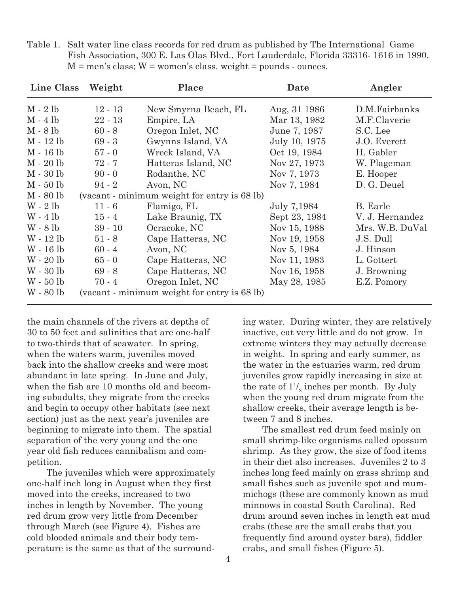| Line Class  | Weight    | Place                                        | Date          | Angler          |
|-------------|-----------|----------------------------------------------|---------------|-----------------|
| $M - 2 lb$  | $12 - 13$ | New Smyrna Beach, FL                         | Aug, 31 1986  | D.M.Fairbanks   |
| $M - 4 lb$  | $22 - 13$ | Empire, LA                                   | Mar 13, 1982  | M.F.Claverie    |
| $M - 8 lb$  | $60 - 8$  | Oregon Inlet, NC                             | June 7, 1987  | S.C. Lee        |
| M - 12 lb   | $69 - 3$  | Gwynns Island, VA                            | July 10, 1975 | J.O. Everett    |
| M - 16 lb   | $57 - 0$  | Wreck Island, VA                             | Oct 19, 1984  | H. Gabler       |
| M - 20 lb   | $72 - 7$  | Hatteras Island, NC                          | Nov 27, 1973  | W. Plageman     |
| $M - 30$ lb | $90 - 0$  | Rodanthe, NC                                 | Nov 7, 1973   | E. Hooper       |
| $M - 50$ lb | $94 - 2$  | Avon, NC                                     | Nov 7, 1984   | D. G. Deuel     |
| M - 80 lb   |           | (vacant - minimum weight for entry is 68 lb) |               |                 |
| $W - 2 lb$  | $11 - 6$  | Flamigo, FL                                  | July 7,1984   | B. Earle        |
| $W - 4 lb$  | $15 - 4$  | Lake Braunig, TX                             | Sept 23, 1984 | V. J. Hernandez |
| $W - 8 lb$  | $39 - 10$ | Ocracoke, NC                                 | Nov 15, 1988  | Mrs. W.B. DuVal |
| W - 12 lb   | $51 - 8$  | Cape Hatteras, NC                            | Nov 19, 1958  | J.S. Dull       |
| W - 16 lb   | $60 - 4$  | Avon, NC                                     | Nov 5, 1984   | J. Hinson       |
| $W - 20$ lb | $65 - 0$  | Cape Hatteras, NC                            | Nov 11, 1983  | L. Gottert      |
| $W - 30$ lb | $69 - 8$  | Cape Hatteras, NC                            | Nov 16, 1958  | J. Browning     |
| $W - 50$ lb | $70 - 4$  | Oregon Inlet, NC                             | May 28, 1985  | E.Z. Pomory     |
| W - 80 lb   |           | (vacant - minimum weight for entry is 68 lb) |               |                 |

Table 1. Salt water line class records for red drum as published by The International Game Fish Association, 300 E. Las Olas Blvd., Fort Lauderdale, Florida 33316- 1616 in 1990.  $M =$  men's class;  $W =$  women's class. weight  $=$  pounds  $\cdot$  ounces.

the main channels of the rivers at depths of 30 to 50 feet and salinities that are one-half to two-thirds that of seawater. In spring, when the waters warm, juveniles moved back into the shallow creeks and were most abundant in late spring. In June and July, when the fish are 10 months old and becoming subadults, they migrate from the creeks and begin to occupy other habitats (see next section) just as the next year's juveniles are beginning to migrate into them. The spatial separation of the very young and the one year old fish reduces cannibalism and competition.

The juveniles which were approximately one-half inch long in August when they first moved into the creeks, increased to two inches in length by November. The young red drum grow very little from December through March (see Figure 4). Fishes are cold blooded animals and their body temperature is the same as that of the surround-

ing water. During winter, they are relatively inactive, eat very little and do not grow. In extreme winters they may actually decrease in weight. In spring and early summer, as the water in the estuaries warm, red drum juveniles grow rapidly increasing in size at the rate of  $1^{\frac{1}{2}}$  inches per month. By July when the young red drum migrate from the shallow creeks, their average length is between 7 and 8 inches.

The smallest red drum feed mainly on small shrimp-like organisms called opossum shrimp. As they grow, the size of food items in their diet also increases. Juveniles 2 to 3 inches long feed mainly on grass shrimp and small fishes such as juvenile spot and mummichogs (these are commonly known as mud minnows in coastal South Carolina). Red drum around seven inches in length eat mud crabs (these are the small crabs that you frequently find around oyster bars), fiddler crabs, and small fishes (Figure 5).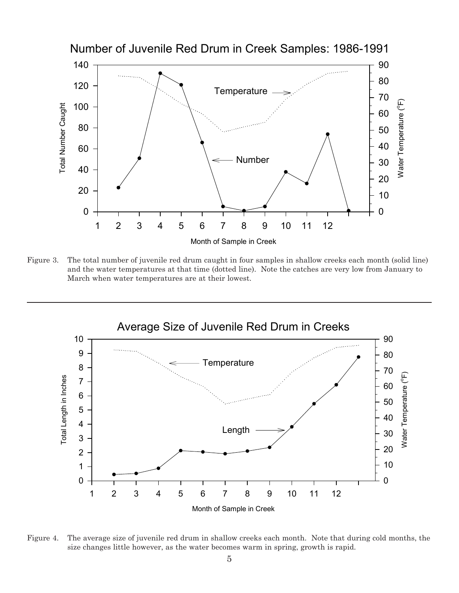

Figure 3. The total number of juvenile red drum caught in four samples in shallow creeks each month (solid line) and the water temperatures at that time (dotted line). Note the catches are very low from January to March when water temperatures are at their lowest.



Figure 4. The average size of juvenile red drum in shallow creeks each month. Note that during cold months, the size changes little however, as the water becomes warm in spring, growth is rapid.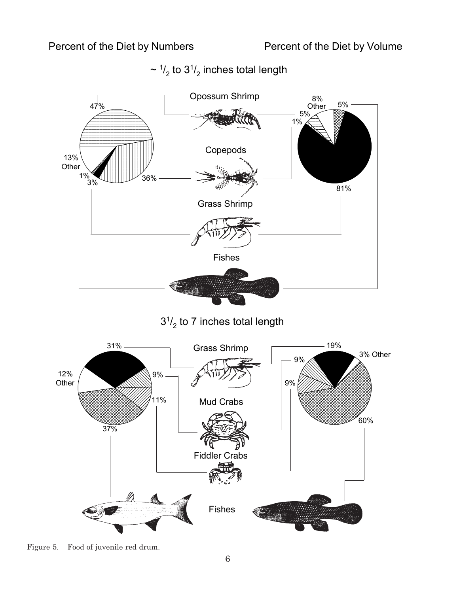

 $\sim$   $\frac{1}{2}$  to  $3\frac{1}{2}$  inches total length

Figure 5. Food of juvenile red drum.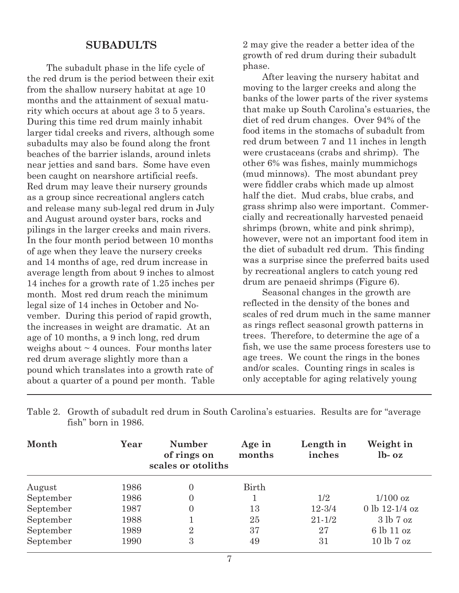#### **SUBADULTS**

The subadult phase in the life cycle of the red drum is the period between their exit from the shallow nursery habitat at age 10 months and the attainment of sexual maturity which occurs at about age 3 to 5 years. During this time red drum mainly inhabit larger tidal creeks and rivers, although some subadults may also be found along the front beaches of the barrier islands, around inlets near jetties and sand bars. Some have even been caught on nearshore artificial reefs. Red drum may leave their nursery grounds as a group since recreational anglers catch and release many sub-legal red drum in July and August around oyster bars, rocks and pilings in the larger creeks and main rivers. In the four month period between 10 months of age when they leave the nursery creeks and 14 months of age, red drum increase in average length from about 9 inches to almost 14 inches for a growth rate of 1.25 inches per month. Most red drum reach the minimum legal size of 14 inches in October and November. During this period of rapid growth, the increases in weight are dramatic. At an age of 10 months, a 9 inch long, red drum weighs about  $\sim$  4 ounces. Four months later red drum average slightly more than a pound which translates into a growth rate of about a quarter of a pound per month. Table

2 may give the reader a better idea of the growth of red drum during their subadult phase.

After leaving the nursery habitat and moving to the larger creeks and along the banks of the lower parts of the river systems that make up South Carolina's estuaries, the diet of red drum changes. Over 94% of the food items in the stomachs of subadult from red drum between 7 and 11 inches in length were crustaceans (crabs and shrimp). The other 6% was fishes, mainly mummichogs (mud minnows). The most abundant prey were fiddler crabs which made up almost half the diet. Mud crabs, blue crabs, and grass shrimp also were important. Commercially and recreationally harvested penaeid shrimps (brown, white and pink shrimp), however, were not an important food item in the diet of subadult red drum. This finding was a surprise since the preferred baits used by recreational anglers to catch young red drum are penaeid shrimps (Figure 6).

Seasonal changes in the growth are reflected in the density of the bones and scales of red drum much in the same manner as rings reflect seasonal growth patterns in trees. Therefore, to determine the age of a fish, we use the same process foresters use to age trees. We count the rings in the bones and/or scales. Counting rings in scales is only acceptable for aging relatively young

| Month     | Year | <b>Number</b><br>of rings on<br>scales or otoliths | Age in<br>months | Length in<br>inches | Weight in<br>$lb - oz$ |
|-----------|------|----------------------------------------------------|------------------|---------------------|------------------------|
| August    | 1986 | $\overline{0}$                                     | Birth            |                     |                        |
| September | 1986 | $\overline{0}$                                     |                  | 1/2                 | $1/100$ oz             |
| September | 1987 | $\overline{0}$                                     | 13               | $12 - 3/4$          | 0 lb $12-1/4$ oz       |
| September | 1988 |                                                    | 25               | $21 - 1/2$          | 3 lb 7 oz              |
| September | 1989 | $\overline{2}$                                     | 37               | 27                  | 6 lb 11 oz             |
| September | 1990 | 3                                                  | 49               | 31                  | 10 lb 7 oz             |

Table 2. Growth of subadult red drum in South Carolina's estuaries. Results are for "average fish" born in 1986.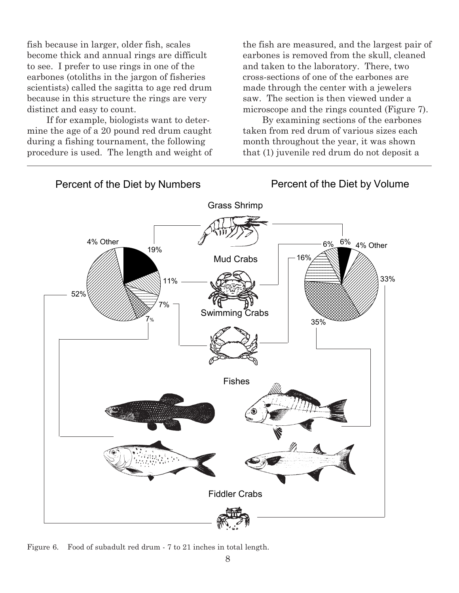fish because in larger, older fish, scales become thick and annual rings are difficult to see. I prefer to use rings in one of the earbones (otoliths in the jargon of fisheries scientists) called the sagitta to age red drum because in this structure the rings are very distinct and easy to count.

If for example, biologists want to determine the age of a 20 pound red drum caught during a fishing tournament, the following procedure is used. The length and weight of the fish are measured, and the largest pair of earbones is removed from the skull, cleaned and taken to the laboratory. There, two cross-sections of one of the earbones are made through the center with a jewelers saw. The section is then viewed under a microscope and the rings counted (Figure 7).

By examining sections of the earbones taken from red drum of various sizes each month throughout the year, it was shown that (1) juvenile red drum do not deposit a



#### Figure 6. Food of subadult red drum - 7 to 21 inches in total length.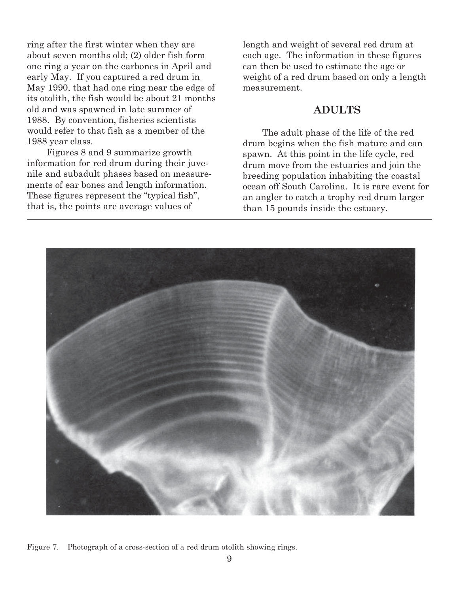ring after the first winter when they are about seven months old; (2) older fish form one ring a year on the earbones in April and early May. If you captured a red drum in May 1990, that had one ring near the edge of its otolith, the fish would be about 21 months old and was spawned in late summer of 1988. By convention, fisheries scientists would refer to that fish as a member of the 1988 year class.

Figures 8 and 9 summarize growth information for red drum during their juvenile and subadult phases based on measurements of ear bones and length information. These figures represent the "typical fish", that is, the points are average values of

length and weight of several red drum at each age. The information in these figures can then be used to estimate the age or weight of a red drum based on only a length measurement.

#### **ADULTS**

The adult phase of the life of the red drum begins when the fish mature and can spawn. At this point in the life cycle, red drum move from the estuaries and join the breeding population inhabiting the coastal ocean off South Carolina. It is rare event for an angler to catch a trophy red drum larger than 15 pounds inside the estuary.



Figure 7. Photograph of a cross-section of a red drum otolith showing rings.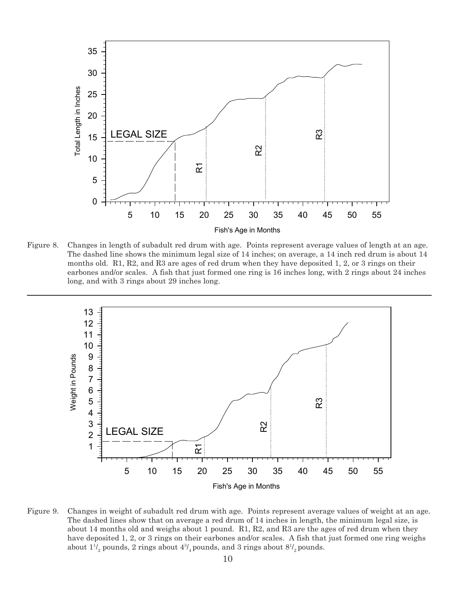

Figure 8. Changes in length of subadult red drum with age. Points represent average values of length at an age. The dashed line shows the minimum legal size of 14 inches; on average, a 14 inch red drum is about 14 months old. R1, R2, and R3 are ages of red drum when they have deposited 1, 2, or 3 rings on their earbones and/or scales. A fish that just formed one ring is 16 inches long, with 2 rings about 24 inches long, and with 3 rings about 29 inches long.



Figure 9. Changes in weight of subadult red drum with age. Points represent average values of weight at an age. The dashed lines show that on average a red drum of 14 inches in length, the minimum legal size, is about 14 months old and weighs about 1 pound. R1, R2, and R3 are the ages of red drum when they have deposited 1, 2, or 3 rings on their earbones and/or scales. A fish that just formed one ring weighs about  $1^{1\prime}_{2}$  pounds,  $2$  rings about  $4^{3\prime}_{4}$  pounds, and  $3$  rings about  $8^{1\prime}_{2}$  pounds.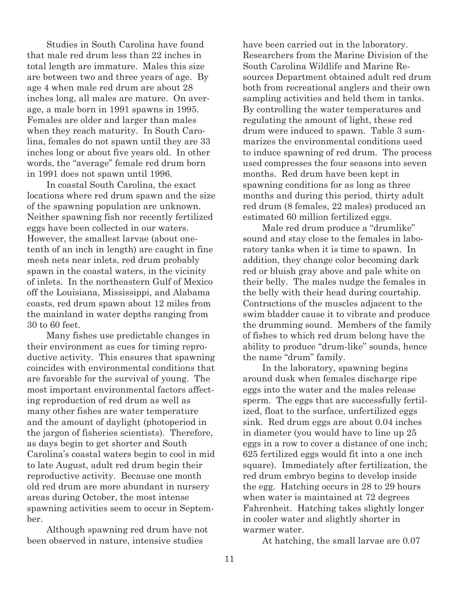Studies in South Carolina have found that male red drum less than 22 inches in total length are immature. Males this size are between two and three years of age. By age 4 when male red drum are about 28 inches long, all males are mature. On average, a male born in 1991 spawns in 1995. Females are older and larger than males when they reach maturity. In South Carolina, females do not spawn until they are 33 inches long or about five years old. In other words, the "average" female red drum born in 1991 does not spawn until 1996.

In coastal South Carolina, the exact locations where red drum spawn and the size of the spawning population are unknown. Neither spawning fish nor recently fertilized eggs have been collected in our waters. However, the smallest larvae (about onetenth of an inch in length) are caught in fine mesh nets near inlets, red drum probably spawn in the coastal waters, in the vicinity of inlets. In the northeastern Gulf of Mexico off the Louisiana, Mississippi, and Alabama coasts, red drum spawn about 12 miles from the mainland in water depths ranging from 30 to 60 feet.

Many fishes use predictable changes in their environment as cues for timing reproductive activity. This ensures that spawning coincides with environmental conditions that are favorable for the survival of young. The most important environmental factors affecting reproduction of red drum as well as many other fishes are water temperature and the amount of daylight (photoperiod in the jargon of fisheries scientists). Therefore, as days begin to get shorter and South Carolina's coastal waters begin to cool in mid to late August, adult red drum begin their reproductive activity. Because one month old red drum are more abundant in nursery areas during October, the most intense spawning activities seem to occur in September.

Although spawning red drum have not been observed in nature, intensive studies

have been carried out in the laboratory. Researchers from the Marine Division of the South Carolina Wildlife and Marine Resources Department obtained adult red drum both from recreational anglers and their own sampling activities and held them in tanks. By controlling the water temperatures and regulating the amount of light, these red drum were induced to spawn. Table 3 summarizes the environmental conditions used to induce spawning of red drum. The process used compresses the four seasons into seven months. Red drum have been kept in spawning conditions for as long as three months and during this period, thirty adult red drum (8 females, 22 males) produced an estimated 60 million fertilized eggs.

Male red drum produce a "drumlike" sound and stay close to the females in laboratory tanks when it is time to spawn. In addition, they change color becoming dark red or bluish gray above and pale white on their belly. The males nudge the females in the belly with their head during courtship. Contractions of the muscles adjacent to the swim bladder cause it to vibrate and produce the drumming sound. Members of the family of fishes to which red drum belong have the ability to produce "drum-like" sounds, hence the name "drum" family.

In the laboratory, spawning begins around dusk when females discharge ripe eggs into the water and the males release sperm. The eggs that are successfully fertilized, float to the surface, unfertilized eggs sink. Red drum eggs are about 0.04 inches in diameter (you would have to line up 25 eggs in a row to cover a distance of one inch; 625 fertilized eggs would fit into a one inch square). Immediately after fertilization, the red drum embryo begins to develop inside the egg. Hatching occurs in 28 to 29 hours when water is maintained at 72 degrees Fahrenheit. Hatching takes slightly longer in cooler water and slightly shorter in warmer water.

At hatching, the small larvae are 0.07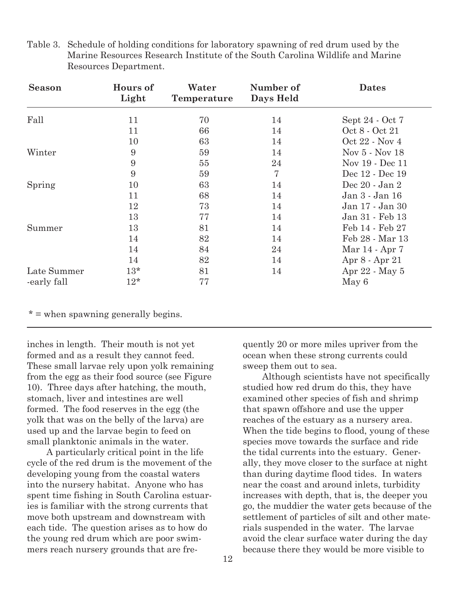| <b>Season</b> | Hours of<br>Light | Water<br>Temperature | Number of<br>Days Held | <b>Dates</b>    |
|---------------|-------------------|----------------------|------------------------|-----------------|
| Fall          | 11                | 70                   | 14                     | Sept 24 - Oct 7 |
|               | 11                | 66                   | 14                     | Oct 8 - Oct 21  |
|               | 10                | 63                   | 14                     | Oct 22 - Nov 4  |
| Winter        | 9                 | 59                   | 14                     | Nov 5 - Nov 18  |
|               | 9                 | 55                   | 24                     | Nov 19 - Dec 11 |
|               | 9                 | 59                   | 7                      | Dec 12 - Dec 19 |
| Spring        | 10                | 63                   | 14                     | Dec 20 - Jan 2  |
|               | 11                | 68                   | 14                     | Jan 3 - Jan 16  |
|               | 12                | 73                   | 14                     | Jan 17 - Jan 30 |
|               | 13                | 77                   | 14                     | Jan 31 - Feb 13 |
| Summer        | 13                | 81                   | 14                     | Feb 14 - Feb 27 |
|               | 14                | 82                   | 14                     | Feb 28 - Mar 13 |
|               | 14                | 84                   | 24                     | Mar 14 - Apr 7  |
|               | 14                | 82                   | 14                     | Apr 8 - Apr 21  |
| Late Summer   | $13*$             | 81                   | 14                     | Apr 22 - May 5  |
| -early fall   | $12*$             | 77                   |                        | May 6           |

Table 3. Schedule of holding conditions for laboratory spawning of red drum used by the Marine Resources Research Institute of the South Carolina Wildlife and Marine Resources Department.

\* = when spawning generally begins.

inches in length. Their mouth is not yet formed and as a result they cannot feed. These small larvae rely upon yolk remaining from the egg as their food source (see Figure 10). Three days after hatching, the mouth, stomach, liver and intestines are well formed. The food reserves in the egg (the yolk that was on the belly of the larva) are used up and the larvae begin to feed on small planktonic animals in the water.

A particularly critical point in the life cycle of the red drum is the movement of the developing young from the coastal waters into the nursery habitat. Anyone who has spent time fishing in South Carolina estuaries is familiar with the strong currents that move both upstream and downstream with each tide. The question arises as to how do the young red drum which are poor swimmers reach nursery grounds that are frequently 20 or more miles upriver from the ocean when these strong currents could sweep them out to sea.

Although scientists have not specifically studied how red drum do this, they have examined other species of fish and shrimp that spawn offshore and use the upper reaches of the estuary as a nursery area. When the tide begins to flood, young of these species move towards the surface and ride the tidal currents into the estuary. Generally, they move closer to the surface at night than during daytime flood tides. In waters near the coast and around inlets, turbidity increases with depth, that is, the deeper you go, the muddier the water gets because of the settlement of particles of silt and other materials suspended in the water. The larvae avoid the clear surface water during the day because there they would be more visible to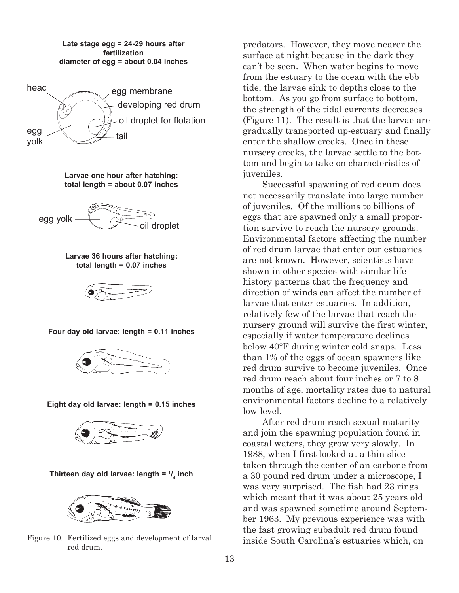**Late stage egg = 24-29 hours after fertilization diameter of egg = about 0.04 inches**



**Larvae one hour after hatching: total length = about 0.07 inches**

 $egg$  yolk  $\overbrace{\hspace{1cm}}$  oil droplet

**Larvae 36 hours after hatching: total length = 0.07 inches**



**Four day old larvae: length = 0.11 inches**



**Eight day old larvae: length = 0.15 inches**



**Thirteen day old larvae: length = 1/ 4 inch**



Figure 10. Fertilized eggs and development of larval red drum.

predators. However, they move nearer the surface at night because in the dark they can't be seen. When water begins to move from the estuary to the ocean with the ebb tide, the larvae sink to depths close to the bottom. As you go from surface to bottom, the strength of the tidal currents decreases (Figure 11). The result is that the larvae are gradually transported up-estuary and finally enter the shallow creeks. Once in these nursery creeks, the larvae settle to the bottom and begin to take on characteristics of juveniles.

Successful spawning of red drum does not necessarily translate into large number of juveniles. Of the millions to billions of eggs that are spawned only a small proportion survive to reach the nursery grounds. Environmental factors affecting the number of red drum larvae that enter our estuaries are not known. However, scientists have shown in other species with similar life history patterns that the frequency and direction of winds can affect the number of larvae that enter estuaries. In addition, relatively few of the larvae that reach the nursery ground will survive the first winter, especially if water temperature declines below 40°F during winter cold snaps. Less than 1% of the eggs of ocean spawners like red drum survive to become juveniles. Once red drum reach about four inches or 7 to 8 months of age, mortality rates due to natural environmental factors decline to a relatively low level.

After red drum reach sexual maturity and join the spawning population found in coastal waters, they grow very slowly. In 1988, when I first looked at a thin slice taken through the center of an earbone from a 30 pound red drum under a microscope, I was very surprised. The fish had 23 rings which meant that it was about 25 years old and was spawned sometime around September 1963. My previous experience was with the fast growing subadult red drum found inside South Carolina's estuaries which, on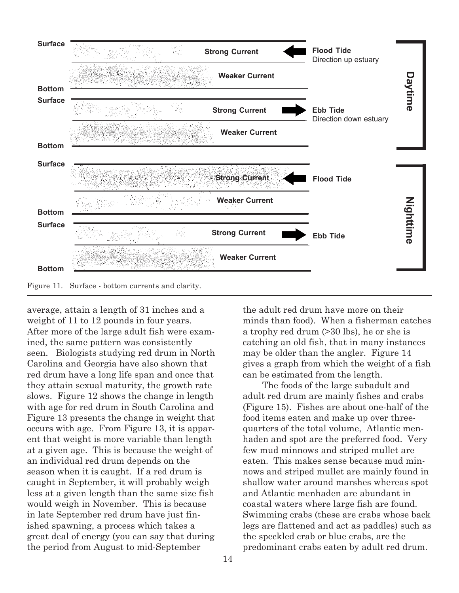

average, attain a length of 31 inches and a weight of 11 to 12 pounds in four years. After more of the large adult fish were examined, the same pattern was consistently seen. Biologists studying red drum in North Carolina and Georgia have also shown that red drum have a long life span and once that they attain sexual maturity, the growth rate slows. Figure 12 shows the change in length with age for red drum in South Carolina and Figure 13 presents the change in weight that occurs with age. From Figure 13, it is apparent that weight is more variable than length at a given age. This is because the weight of an individual red drum depends on the season when it is caught. If a red drum is caught in September, it will probably weigh less at a given length than the same size fish would weigh in November. This is because in late September red drum have just finished spawning, a process which takes a great deal of energy (you can say that during the period from August to mid-September

the adult red drum have more on their minds than food). When a fisherman catches a trophy red drum (>30 lbs), he or she is catching an old fish, that in many instances may be older than the angler. Figure 14 gives a graph from which the weight of a fish can be estimated from the length.

The foods of the large subadult and adult red drum are mainly fishes and crabs (Figure 15). Fishes are about one-half of the food items eaten and make up over threequarters of the total volume, Atlantic menhaden and spot are the preferred food. Very few mud minnows and striped mullet are eaten. This makes sense because mud minnows and striped mullet are mainly found in shallow water around marshes whereas spot and Atlantic menhaden are abundant in coastal waters where large fish are found. Swimming crabs (these are crabs whose back legs are flattened and act as paddles) such as the speckled crab or blue crabs, are the predominant crabs eaten by adult red drum.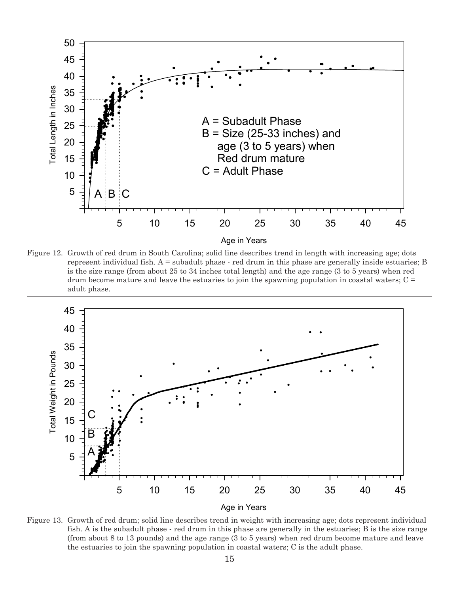

Figure 12. Growth of red drum in South Carolina; solid line describes trend in length with increasing age; dots represent individual fish.  $A =$  subadult phase  $\cdot$  red drum in this phase are generally inside estuaries; B is the size range (from about 25 to 34 inches total length) and the age range (3 to 5 years) when red drum become mature and leave the estuaries to join the spawning population in coastal waters;  $C =$ adult phase.



Age in Years

Figure 13. Growth of red drum; solid line describes trend in weight with increasing age; dots represent individual fish. A is the subadult phase - red drum in this phase are generally in the estuaries; B is the size range (from about 8 to 13 pounds) and the age range (3 to 5 years) when red drum become mature and leave the estuaries to join the spawning population in coastal waters; C is the adult phase.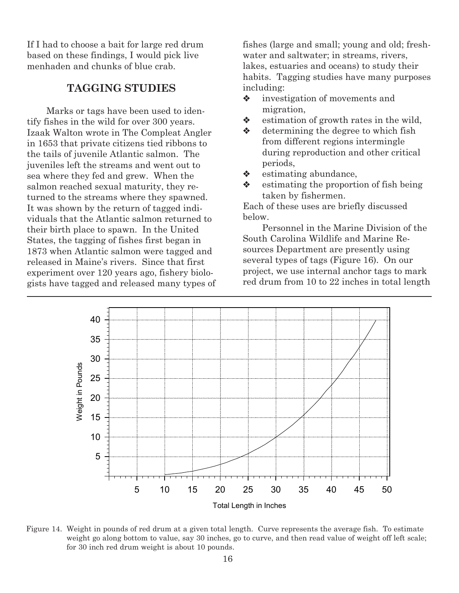If I had to choose a bait for large red drum based on these findings, I would pick live menhaden and chunks of blue crab.

### **TAGGING STUDIES**

Marks or tags have been used to identify fishes in the wild for over 300 years. Izaak Walton wrote in The Compleat Angler in 1653 that private citizens tied ribbons to the tails of juvenile Atlantic salmon. The juveniles left the streams and went out to sea where they fed and grew. When the salmon reached sexual maturity, they returned to the streams where they spawned. It was shown by the return of tagged individuals that the Atlantic salmon returned to their birth place to spawn. In the United States, the tagging of fishes first began in 1873 when Atlantic salmon were tagged and released in Maine's rivers. Since that first experiment over 120 years ago, fishery biologists have tagged and released many types of fishes (large and small; young and old; freshwater and saltwater; in streams, rivers, lakes, estuaries and oceans) to study their habits. Tagging studies have many purposes including:

- $\bullet$  investigation of movements and migration,
- $\bullet$  estimation of growth rates in the wild,
- $\triangleleft$  determining the degree to which fish from different regions intermingle during reproduction and other critical periods,
- $\triangleleft$  estimating abundance,
- $\bullet$  estimating the proportion of fish being taken by fishermen.

Each of these uses are briefly discussed below.

Personnel in the Marine Division of the South Carolina Wildlife and Marine Resources Department are presently using several types of tags (Figure 16). On our project, we use internal anchor tags to mark red drum from 10 to 22 inches in total length



Figure 14. Weight in pounds of red drum at a given total length. Curve represents the average fish. To estimate weight go along bottom to value, say 30 inches, go to curve, and then read value of weight off left scale; for 30 inch red drum weight is about 10 pounds.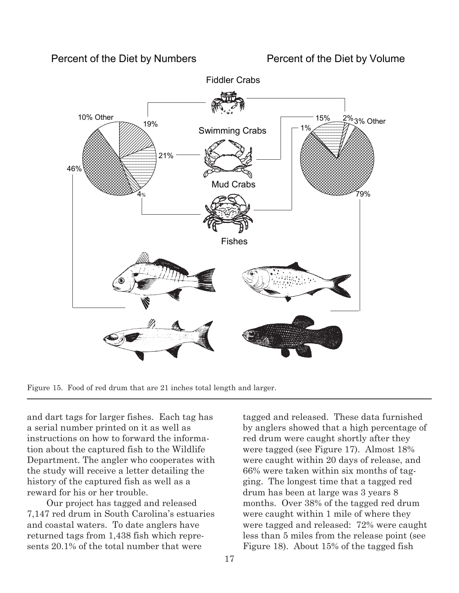

Figure 15. Food of red drum that are 21 inches total length and larger.

and dart tags for larger fishes. Each tag has a serial number printed on it as well as instructions on how to forward the information about the captured fish to the Wildlife Department. The angler who cooperates with the study will receive a letter detailing the history of the captured fish as well as a reward for his or her trouble.

Our project has tagged and released 7,147 red drum in South Carolina's estuaries and coastal waters. To date anglers have returned tags from 1,438 fish which represents 20.1% of the total number that were

tagged and released. These data furnished by anglers showed that a high percentage of red drum were caught shortly after they were tagged (see Figure 17). Almost 18% were caught within 20 days of release, and 66% were taken within six months of tagging. The longest time that a tagged red drum has been at large was 3 years 8 months. Over 38% of the tagged red drum were caught within 1 mile of where they were tagged and released: 72% were caught less than 5 miles from the release point (see Figure 18). About 15% of the tagged fish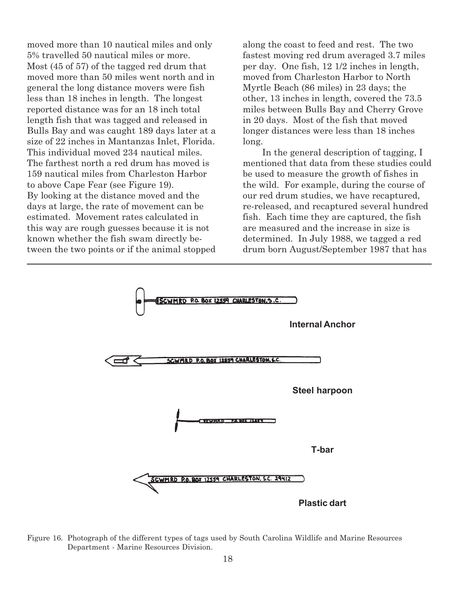moved more than 10 nautical miles and only 5% travelled 50 nautical miles or more. Most (45 of 57) of the tagged red drum that moved more than 50 miles went north and in general the long distance movers were fish less than 18 inches in length. The longest reported distance was for an 18 inch total length fish that was tagged and released in Bulls Bay and was caught 189 days later at a size of 22 inches in Mantanzas Inlet, Florida. This individual moved 234 nautical miles. The farthest north a red drum has moved is 159 nautical miles from Charleston Harbor to above Cape Fear (see Figure 19). By looking at the distance moved and the days at large, the rate of movement can be estimated. Movement rates calculated in this way are rough guesses because it is not known whether the fish swam directly between the two points or if the animal stopped

along the coast to feed and rest. The two fastest moving red drum averaged 3.7 miles per day. One fish, 12 1/2 inches in length, moved from Charleston Harbor to North Myrtle Beach (86 miles) in 23 days; the other, 13 inches in length, covered the 73.5 miles between Bulls Bay and Cherry Grove in 20 days. Most of the fish that moved longer distances were less than 18 inches long.

In the general description of tagging, I mentioned that data from these studies could be used to measure the growth of fishes in the wild. For example, during the course of our red drum studies, we have recaptured, re-released, and recaptured several hundred fish. Each time they are captured, the fish are measured and the increase in size is determined. In July 1988, we tagged a red drum born August/September 1987 that has



Figure 16. Photograph of the different types of tags used by South Carolina Wildlife and Marine Resources Department - Marine Resources Division.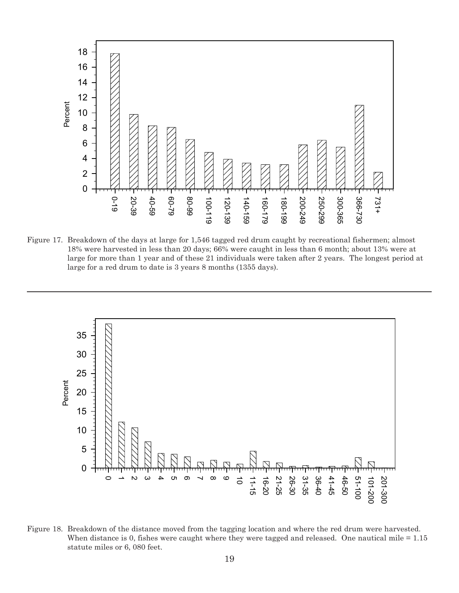

Figure 17. Breakdown of the days at large for 1,546 tagged red drum caught by recreational fishermen; almost 18% were harvested in less than 20 days; 66% were caught in less than 6 month; about 13% were at large for more than 1 year and of these 21 individuals were taken after 2 years. The longest period at large for a red drum to date is 3 years 8 months (1355 days).



Figure 18. Breakdown of the distance moved from the tagging location and where the red drum were harvested. When distance is 0, fishes were caught where they were tagged and released. One nautical mile  $= 1.15$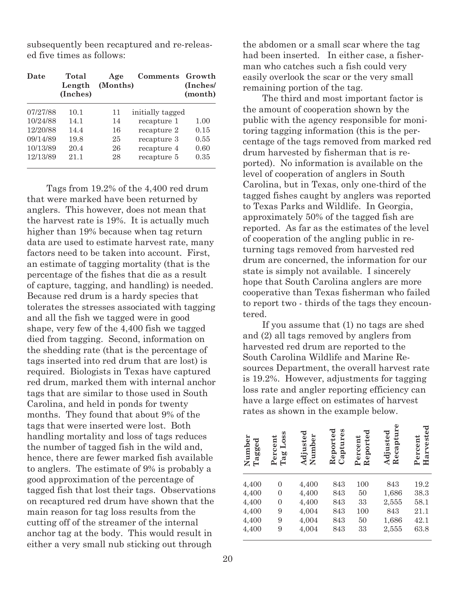subsequently been recaptured and re-released five times as follows:

| Date     | Total<br>Length<br>(Inches) | Age<br>(Months) | <b>Comments</b>  | Growth<br>(Inches/<br>(month) |
|----------|-----------------------------|-----------------|------------------|-------------------------------|
| 07/27/88 | 10.1                        | 11              | initially tagged |                               |
| 10/24/88 | 14.1                        | 14              | recapture 1      | 1.00                          |
| 12/20/88 | 14.4                        | 16              | recapture 2      | 0.15                          |
| 09/14/89 | 19.8                        | 25              | recapture 3      | 0.55                          |
| 10/13/89 | 20.4                        | 26              | recapture 4      | 0.60                          |
| 12/13/89 | 21.1                        | 28              | recapture 5      | 0.35                          |

Tags from 19.2% of the 4,400 red drum that were marked have been returned by anglers. This however, does not mean that the harvest rate is 19%. It is actually much higher than 19% because when tag return data are used to estimate harvest rate, many factors need to be taken into account. First, an estimate of tagging mortality (that is the percentage of the fishes that die as a result of capture, tagging, and handling) is needed. Because red drum is a hardy species that tolerates the stresses associated with tagging and all the fish we tagged were in good shape, very few of the 4,400 fish we tagged died from tagging. Second, information on the shedding rate (that is the percentage of tags inserted into red drum that are lost) is required. Biologists in Texas have captured red drum, marked them with internal anchor tags that are similar to those used in South Carolina, and held in ponds for twenty months. They found that about 9% of the tags that were inserted were lost. Both handling mortality and loss of tags reduces the number of tagged fish in the wild and, hence, there are fewer marked fish available to anglers. The estimate of 9% is probably a good approximation of the percentage of tagged fish that lost their tags. Observations on recaptured red drum have shown that the main reason for tag loss results from the cutting off of the streamer of the internal anchor tag at the body. This would result in either a very small nub sticking out through

the abdomen or a small scar where the tag had been inserted. In either case, a fisherman who catches such a fish could very easily overlook the scar or the very small remaining portion of the tag.

The third and most important factor is the amount of cooperation shown by the public with the agency responsible for monitoring tagging information (this is the percentage of the tags removed from marked red drum harvested by fisherman that is reported). No information is available on the level of cooperation of anglers in South Carolina, but in Texas, only one-third of the tagged fishes caught by anglers was reported to Texas Parks and Wildlife. In Georgia, approximately 50% of the tagged fish are reported. As far as the estimates of the level of cooperation of the angling public in returning tags removed from harvested red drum are concerned, the information for our state is simply not available. I sincerely hope that South Carolina anglers are more cooperative than Texas fisherman who failed to report two - thirds of the tags they encountered.

If you assume that (1) no tags are shed and (2) all tags removed by anglers from harvested red drum are reported to the South Carolina Wildlife and Marine Resources Department, the overall harvest rate is 19.2%. However, adjustments for tagging loss rate and angler reporting efficiency can have a large effect on estimates of harvest rates as shown in the example below.

| $\mathbf{umber}$<br>ರ<br>agge<br>ŻË | oso<br>ercent<br>ロ<br>ag<br>$\vdash$<br>௨ | Adjusted<br>Number | aptures<br>Reported<br>Õ | ರ<br>eporte<br>$\bm{\text{ercent}}$<br>$\approx$<br>≏ | Recapture<br>Adjusted | ರ<br>arveste<br>$\bm{\text{ercent}}$<br>$\blacksquare$<br>≏ |
|-------------------------------------|-------------------------------------------|--------------------|--------------------------|-------------------------------------------------------|-----------------------|-------------------------------------------------------------|
| 4,400                               | 0                                         | 4,400              | 843                      | 100                                                   | 843                   | 19.2                                                        |
| 4,400                               | 0                                         | 4,400              | 843                      | 50                                                    | 1,686                 | 38.3                                                        |
| 4,400                               | 0                                         | 4,400              | 843                      | 33                                                    | 2,555                 | 58.1                                                        |
| 4,400                               | 9                                         | 4,004              | 843                      | 100                                                   | 843                   | 21.1                                                        |
| 4,400                               | 9                                         | 4,004              | 843                      | 50                                                    | 1,686                 | 42.1                                                        |
| 4,400                               | 9                                         | 4,004              | 843                      | 33                                                    | 2,555                 | 63.8                                                        |
|                                     |                                           |                    |                          |                                                       |                       |                                                             |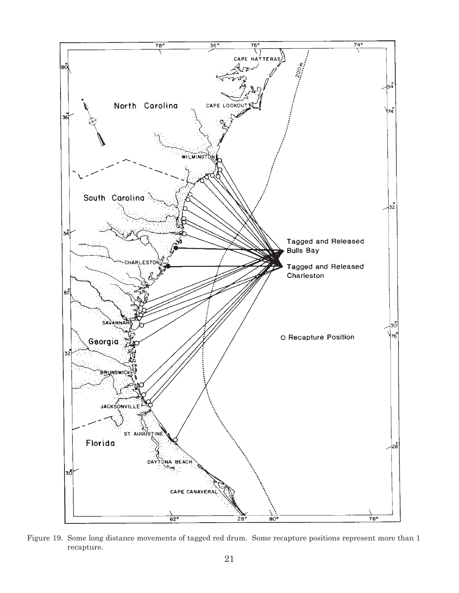

Figure 19. Some long distance movements of tagged red drum. Some recapture positions represent more than 1 recapture.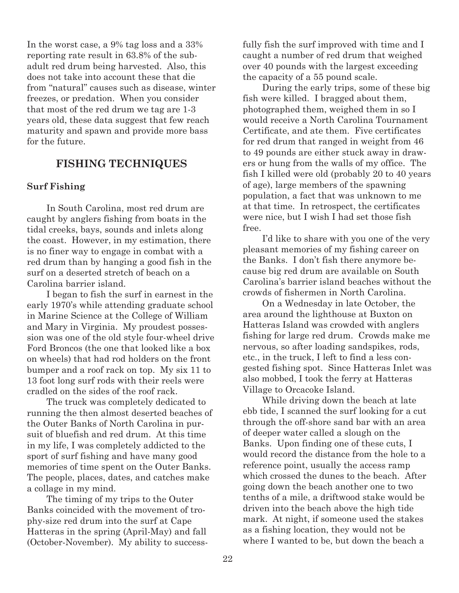In the worst case, a 9% tag loss and a 33% reporting rate result in 63.8% of the subadult red drum being harvested. Also, this does not take into account these that die from "natural" causes such as disease, winter freezes, or predation. When you consider that most of the red drum we tag are 1-3 years old, these data suggest that few reach maturity and spawn and provide more bass for the future.

## **FISHING TECHNIQUES**

#### **Surf Fishing**

In South Carolina, most red drum are caught by anglers fishing from boats in the tidal creeks, bays, sounds and inlets along the coast. However, in my estimation, there is no finer way to engage in combat with a red drum than by hanging a good fish in the surf on a deserted stretch of beach on a Carolina barrier island.

I began to fish the surf in earnest in the early 1970's while attending graduate school in Marine Science at the College of William and Mary in Virginia. My proudest possession was one of the old style four-wheel drive Ford Broncos (the one that looked like a box on wheels) that had rod holders on the front bumper and a roof rack on top. My six 11 to 13 foot long surf rods with their reels were cradled on the sides of the roof rack.

The truck was completely dedicated to running the then almost deserted beaches of the Outer Banks of North Carolina in pursuit of bluefish and red drum. At this time in my life, I was completely addicted to the sport of surf fishing and have many good memories of time spent on the Outer Banks. The people, places, dates, and catches make a collage in my mind.

The timing of my trips to the Outer Banks coincided with the movement of trophy-size red drum into the surf at Cape Hatteras in the spring (April-May) and fall (October-November). My ability to successfully fish the surf improved with time and I caught a number of red drum that weighed over 40 pounds with the largest exceeding the capacity of a 55 pound scale.

During the early trips, some of these big fish were killed. I bragged about them, photographed them, weighed them in so I would receive a North Carolina Tournament Certificate, and ate them. Five certificates for red drum that ranged in weight from 46 to 49 pounds are either stuck away in drawers or hung from the walls of my office. The fish I killed were old (probably 20 to 40 years of age), large members of the spawning population, a fact that was unknown to me at that time. In retrospect, the certificates were nice, but I wish I had set those fish free.

I'd like to share with you one of the very pleasant memories of my fishing career on the Banks. I don't fish there anymore because big red drum are available on South Carolina's barrier island beaches without the crowds of fishermen in North Carolina.

On a Wednesday in late October, the area around the lighthouse at Buxton on Hatteras Island was crowded with anglers fishing for large red drum. Crowds make me nervous, so after loading sandspikes, rods, etc., in the truck, I left to find a less congested fishing spot. Since Hatteras Inlet was also mobbed, I took the ferry at Hatteras Village to Orcacoke Island.

While driving down the beach at late ebb tide, I scanned the surf looking for a cut through the off-shore sand bar with an area of deeper water called a slough on the Banks. Upon finding one of these cuts, I would record the distance from the hole to a reference point, usually the access ramp which crossed the dunes to the beach. After going down the beach another one to two tenths of a mile, a driftwood stake would be driven into the beach above the high tide mark. At night, if someone used the stakes as a fishing location, they would not be where I wanted to be, but down the beach a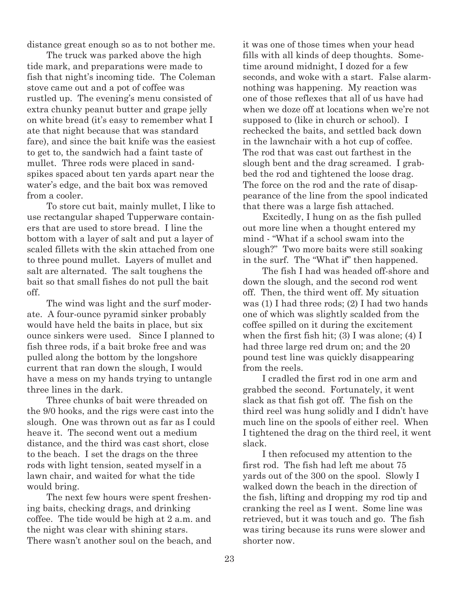distance great enough so as to not bother me.

The truck was parked above the high tide mark, and preparations were made to fish that night's incoming tide. The Coleman stove came out and a pot of coffee was rustled up. The evening's menu consisted of extra chunky peanut butter and grape jelly on white bread (it's easy to remember what I ate that night because that was standard fare), and since the bait knife was the easiest to get to, the sandwich had a faint taste of mullet. Three rods were placed in sandspikes spaced about ten yards apart near the water's edge, and the bait box was removed from a cooler.

To store cut bait, mainly mullet, I like to use rectangular shaped Tupperware containers that are used to store bread. I line the bottom with a layer of salt and put a layer of scaled fillets with the skin attached from one to three pound mullet. Layers of mullet and salt are alternated. The salt toughens the bait so that small fishes do not pull the bait off.

The wind was light and the surf moderate. A four-ounce pyramid sinker probably would have held the baits in place, but six ounce sinkers were used. Since I planned to fish three rods, if a bait broke free and was pulled along the bottom by the longshore current that ran down the slough, I would have a mess on my hands trying to untangle three lines in the dark.

Three chunks of bait were threaded on the 9/0 hooks, and the rigs were cast into the slough. One was thrown out as far as I could heave it. The second went out a medium distance, and the third was cast short, close to the beach. I set the drags on the three rods with light tension, seated myself in a lawn chair, and waited for what the tide would bring.

The next few hours were spent freshening baits, checking drags, and drinking coffee. The tide would be high at 2 a.m. and the night was clear with shining stars. There wasn't another soul on the beach, and it was one of those times when your head fills with all kinds of deep thoughts. Sometime around midnight, I dozed for a few seconds, and woke with a start. False alarmnothing was happening. My reaction was one of those reflexes that all of us have had when we doze off at locations when we're not supposed to (like in church or school). I rechecked the baits, and settled back down in the lawnchair with a hot cup of coffee. The rod that was cast out farthest in the slough bent and the drag screamed. I grabbed the rod and tightened the loose drag. The force on the rod and the rate of disappearance of the line from the spool indicated that there was a large fish attached.

Excitedly, I hung on as the fish pulled out more line when a thought entered my mind - "What if a school swam into the slough?" Two more baits were still soaking in the surf. The "What if" then happened.

The fish I had was headed off-shore and down the slough, and the second rod went off. Then, the third went off. My situation was (1) I had three rods; (2) I had two hands one of which was slightly scalded from the coffee spilled on it during the excitement when the first fish hit;  $(3)$  I was alone;  $(4)$  I had three large red drum on; and the 20 pound test line was quickly disappearing from the reels.

I cradled the first rod in one arm and grabbed the second. Fortunately, it went slack as that fish got off. The fish on the third reel was hung solidly and I didn't have much line on the spools of either reel. When I tightened the drag on the third reel, it went slack.

I then refocused my attention to the first rod. The fish had left me about 75 yards out of the 300 on the spool. Slowly I walked down the beach in the direction of the fish, lifting and dropping my rod tip and cranking the reel as I went. Some line was retrieved, but it was touch and go. The fish was tiring because its runs were slower and shorter now.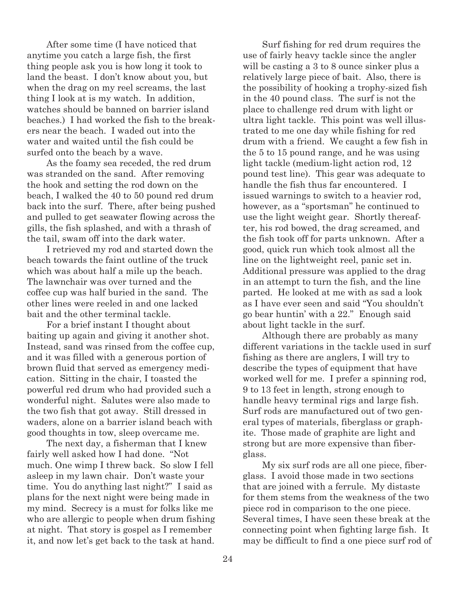After some time (I have noticed that anytime you catch a large fish, the first thing people ask you is how long it took to land the beast. I don't know about you, but when the drag on my reel screams, the last thing I look at is my watch. In addition, watches should be banned on barrier island beaches.) I had worked the fish to the breakers near the beach. I waded out into the water and waited until the fish could be surfed onto the beach by a wave.

As the foamy sea receded, the red drum was stranded on the sand. After removing the hook and setting the rod down on the beach, I walked the 40 to 50 pound red drum back into the surf. There, after being pushed and pulled to get seawater flowing across the gills, the fish splashed, and with a thrash of the tail, swam off into the dark water.

I retrieved my rod and started down the beach towards the faint outline of the truck which was about half a mile up the beach. The lawnchair was over turned and the coffee cup was half buried in the sand. The other lines were reeled in and one lacked bait and the other terminal tackle.

For a brief instant I thought about baiting up again and giving it another shot. Instead, sand was rinsed from the coffee cup, and it was filled with a generous portion of brown fluid that served as emergency medication. Sitting in the chair, I toasted the powerful red drum who had provided such a wonderful night. Salutes were also made to the two fish that got away. Still dressed in waders, alone on a barrier island beach with good thoughts in tow, sleep overcame me.

The next day, a fisherman that I knew fairly well asked how I had done. "Not much. One wimp I threw back. So slow I fell asleep in my lawn chair. Don't waste your time. You do anything last night?" I said as plans for the next night were being made in my mind. Secrecy is a must for folks like me who are allergic to people when drum fishing at night. That story is gospel as I remember it, and now let's get back to the task at hand.

Surf fishing for red drum requires the use of fairly heavy tackle since the angler will be casting a 3 to 8 ounce sinker plus a relatively large piece of bait. Also, there is the possibility of hooking a trophy-sized fish in the 40 pound class. The surf is not the place to challenge red drum with light or ultra light tackle. This point was well illustrated to me one day while fishing for red drum with a friend. We caught a few fish in the 5 to 15 pound range, and he was using light tackle (medium-light action rod, 12 pound test line). This gear was adequate to handle the fish thus far encountered. I issued warnings to switch to a heavier rod, however, as a "sportsman" he continued to use the light weight gear. Shortly thereafter, his rod bowed, the drag screamed, and the fish took off for parts unknown. After a good, quick run which took almost all the line on the lightweight reel, panic set in. Additional pressure was applied to the drag in an attempt to turn the fish, and the line parted. He looked at me with as sad a look as I have ever seen and said "You shouldn't go bear huntin' with a 22." Enough said about light tackle in the surf.

Although there are probably as many different variations in the tackle used in surf fishing as there are anglers, I will try to describe the types of equipment that have worked well for me. I prefer a spinning rod, 9 to 13 feet in length, strong enough to handle heavy terminal rigs and large fish. Surf rods are manufactured out of two general types of materials, fiberglass or graphite. Those made of graphite are light and strong but are more expensive than fiberglass.

My six surf rods are all one piece, fiberglass. I avoid those made in two sections that are joined with a ferrule. My distaste for them stems from the weakness of the two piece rod in comparison to the one piece. Several times, I have seen these break at the connecting point when fighting large fish. It may be difficult to find a one piece surf rod of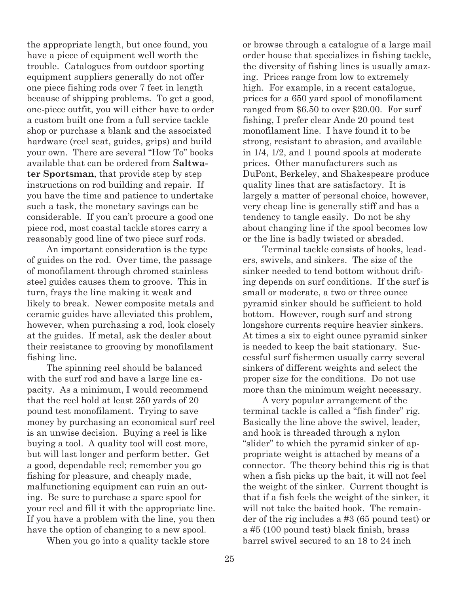the appropriate length, but once found, you have a piece of equipment well worth the trouble. Catalogues from outdoor sporting equipment suppliers generally do not offer one piece fishing rods over 7 feet in length because of shipping problems. To get a good, one-piece outfit, you will either have to order a custom built one from a full service tackle shop or purchase a blank and the associated hardware (reel seat, guides, grips) and build your own. There are several "How To" books available that can be ordered from **Saltwater Sportsman**, that provide step by step instructions on rod building and repair. If you have the time and patience to undertake such a task, the monetary savings can be considerable. If you can't procure a good one piece rod, most coastal tackle stores carry a reasonably good line of two piece surf rods.

An important consideration is the type of guides on the rod. Over time, the passage of monofilament through chromed stainless steel guides causes them to groove. This in turn, frays the line making it weak and likely to break. Newer composite metals and ceramic guides have alleviated this problem, however, when purchasing a rod, look closely at the guides. If metal, ask the dealer about their resistance to grooving by monofilament fishing line.

The spinning reel should be balanced with the surf rod and have a large line capacity. As a minimum, I would recommend that the reel hold at least 250 yards of 20 pound test monofilament. Trying to save money by purchasing an economical surf reel is an unwise decision. Buying a reel is like buying a tool. A quality tool will cost more, but will last longer and perform better. Get a good, dependable reel; remember you go fishing for pleasure, and cheaply made, malfunctioning equipment can ruin an outing. Be sure to purchase a spare spool for your reel and fill it with the appropriate line. If you have a problem with the line, you then have the option of changing to a new spool.

When you go into a quality tackle store

or browse through a catalogue of a large mail order house that specializes in fishing tackle, the diversity of fishing lines is usually amazing. Prices range from low to extremely high. For example, in a recent catalogue, prices for a 650 yard spool of monofilament ranged from \$6.50 to over \$20.00. For surf fishing, I prefer clear Ande 20 pound test monofilament line. I have found it to be strong, resistant to abrasion, and available in 1/4, 1/2, and 1 pound spools at moderate prices. Other manufacturers such as DuPont, Berkeley, and Shakespeare produce quality lines that are satisfactory. It is largely a matter of personal choice, however, very cheap line is generally stiff and has a tendency to tangle easily. Do not be shy about changing line if the spool becomes low or the line is badly twisted or abraded.

Terminal tackle consists of hooks, leaders, swivels, and sinkers. The size of the sinker needed to tend bottom without drifting depends on surf conditions. If the surf is small or moderate, a two or three ounce pyramid sinker should be sufficient to hold bottom. However, rough surf and strong longshore currents require heavier sinkers. At times a six to eight ounce pyramid sinker is needed to keep the bait stationary. Successful surf fishermen usually carry several sinkers of different weights and select the proper size for the conditions. Do not use more than the minimum weight necessary.

A very popular arrangement of the terminal tackle is called a "fish finder" rig. Basically the line above the swivel, leader, and hook is threaded through a nylon "slider" to which the pyramid sinker of appropriate weight is attached by means of a connector. The theory behind this rig is that when a fish picks up the bait, it will not feel the weight of the sinker. Current thought is that if a fish feels the weight of the sinker, it will not take the baited hook. The remainder of the rig includes a #3 (65 pound test) or a #5 (100 pound test) black finish, brass barrel swivel secured to an 18 to 24 inch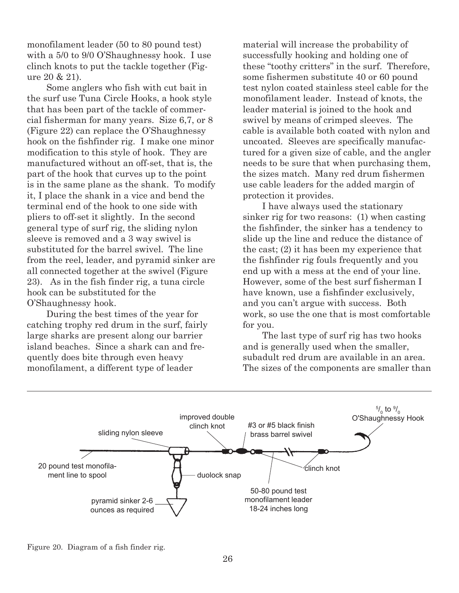monofilament leader (50 to 80 pound test) with a 5/0 to 9/0 O'Shaughnessy hook. I use clinch knots to put the tackle together (Figure 20 & 21).

Some anglers who fish with cut bait in the surf use Tuna Circle Hooks, a hook style that has been part of the tackle of commercial fisherman for many years. Size 6,7, or 8 (Figure 22) can replace the O'Shaughnessy hook on the fishfinder rig. I make one minor modification to this style of hook. They are manufactured without an off-set, that is, the part of the hook that curves up to the point is in the same plane as the shank. To modify it, I place the shank in a vice and bend the terminal end of the hook to one side with pliers to off-set it slightly. In the second general type of surf rig, the sliding nylon sleeve is removed and a 3 way swivel is substituted for the barrel swivel. The line from the reel, leader, and pyramid sinker are all connected together at the swivel (Figure 23). As in the fish finder rig, a tuna circle hook can be substituted for the O'Shaughnessy hook.

During the best times of the year for catching trophy red drum in the surf, fairly large sharks are present along our barrier island beaches. Since a shark can and frequently does bite through even heavy monofilament, a different type of leader

material will increase the probability of successfully hooking and holding one of these "toothy critters" in the surf. Therefore, some fishermen substitute 40 or 60 pound test nylon coated stainless steel cable for the monofilament leader. Instead of knots, the leader material is joined to the hook and swivel by means of crimped sleeves. The cable is available both coated with nylon and uncoated. Sleeves are specifically manufactured for a given size of cable, and the angler needs to be sure that when purchasing them, the sizes match. Many red drum fishermen use cable leaders for the added margin of protection it provides.

I have always used the stationary sinker rig for two reasons: (1) when casting the fishfinder, the sinker has a tendency to slide up the line and reduce the distance of the cast; (2) it has been my experience that the fishfinder rig fouls frequently and you end up with a mess at the end of your line. However, some of the best surf fisherman I have known, use a fishfinder exclusively, and you can't argue with success. Both work, so use the one that is most comfortable for you.

The last type of surf rig has two hooks and is generally used when the smaller, subadult red drum are available in an area. The sizes of the components are smaller than



Figure 20. Diagram of a fish finder rig.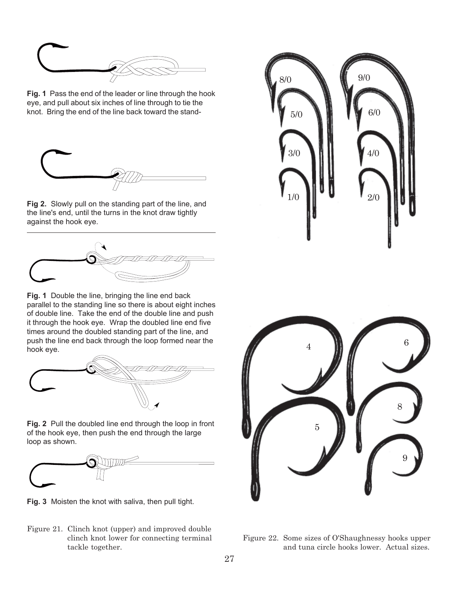

**Fig. 1** Pass the end of the leader or line through the hook eye, and pull about six inches of line through to tie the knot. Bring the end of the line back toward the stand-



**Fig 2.** Slowly pull on the standing part of the line, and the line's end, until the turns in the knot draw tightly against the hook eye.



**Fig. 1** Double the line, bringing the line end back parallel to the standing line so there is about eight inches of double line. Take the end of the double line and push it through the hook eye. Wrap the doubled line end five times around the doubled standing part of the line, and push the line end back through the loop formed near the hook eye.



**Fig. 2** Pull the doubled line end through the loop in front of the hook eye, then push the end through the large loop as shown.



**Fig. 3** Moisten the knot with saliva, then pull tight.

Figure 21. Clinch knot (upper) and improved double clinch knot lower for connecting terminal tackle together.





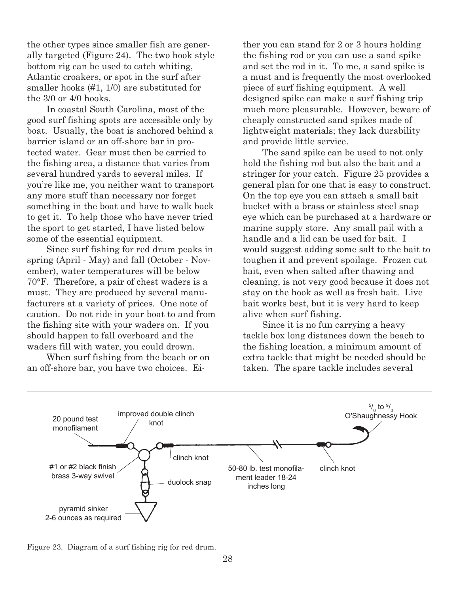the other types since smaller fish are generally targeted (Figure 24). The two hook style bottom rig can be used to catch whiting, Atlantic croakers, or spot in the surf after smaller hooks (#1, 1/0) are substituted for the 3/0 or 4/0 hooks.

In coastal South Carolina, most of the good surf fishing spots are accessible only by boat. Usually, the boat is anchored behind a barrier island or an off-shore bar in protected water. Gear must then be carried to the fishing area, a distance that varies from several hundred yards to several miles. If you're like me, you neither want to transport any more stuff than necessary nor forget something in the boat and have to walk back to get it. To help those who have never tried the sport to get started, I have listed below some of the essential equipment.

Since surf fishing for red drum peaks in spring (April - May) and fall (October - November), water temperatures will be below 70°F. Therefore, a pair of chest waders is a must. They are produced by several manufacturers at a variety of prices. One note of caution. Do not ride in your boat to and from the fishing site with your waders on. If you should happen to fall overboard and the waders fill with water, you could drown.

When surf fishing from the beach or on an off-shore bar, you have two choices. Either you can stand for 2 or 3 hours holding the fishing rod or you can use a sand spike and set the rod in it. To me, a sand spike is a must and is frequently the most overlooked piece of surf fishing equipment. A well designed spike can make a surf fishing trip much more pleasurable. However, beware of cheaply constructed sand spikes made of lightweight materials; they lack durability and provide little service.

The sand spike can be used to not only hold the fishing rod but also the bait and a stringer for your catch. Figure 25 provides a general plan for one that is easy to construct. On the top eye you can attach a small bait bucket with a brass or stainless steel snap eye which can be purchased at a hardware or marine supply store. Any small pail with a handle and a lid can be used for bait. I would suggest adding some salt to the bait to toughen it and prevent spoilage. Frozen cut bait, even when salted after thawing and cleaning, is not very good because it does not stay on the hook as well as fresh bait. Live bait works best, but it is very hard to keep alive when surf fishing.

Since it is no fun carrying a heavy tackle box long distances down the beach to the fishing location, a minimum amount of extra tackle that might be needed should be taken. The spare tackle includes several



Figure 23. Diagram of a surf fishing rig for red drum.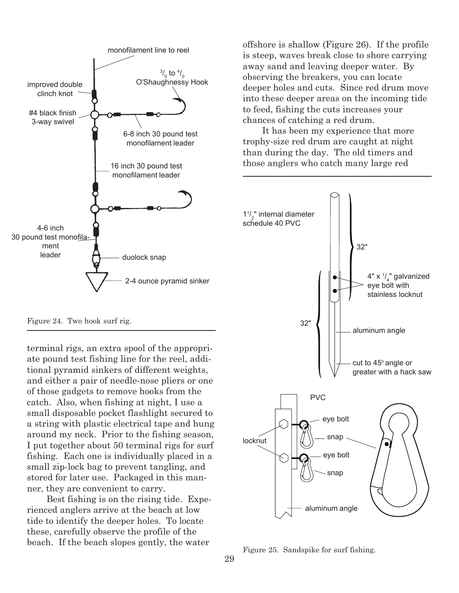

Figure 24. Two hook surf rig.

terminal rigs, an extra spool of the appropriate pound test fishing line for the reel, additional pyramid sinkers of different weights, and either a pair of needle-nose pliers or one of those gadgets to remove hooks from the catch. Also, when fishing at night, I use a small disposable pocket flashlight secured to a string with plastic electrical tape and hung around my neck. Prior to the fishing season, I put together about 50 terminal rigs for surf fishing. Each one is individually placed in a small zip-lock bag to prevent tangling, and stored for later use. Packaged in this manner, they are convenient to carry.

Best fishing is on the rising tide. Experienced anglers arrive at the beach at low tide to identify the deeper holes. To locate these, carefully observe the profile of the beach. If the beach slopes gently, the water Figure 25. Sandspike for surf fishing.

offshore is shallow (Figure 26). If the profile is steep, waves break close to shore carrying away sand and leaving deeper water. By observing the breakers, you can locate deeper holes and cuts. Since red drum move into these deeper areas on the incoming tide to feed, fishing the cuts increases your chances of catching a red drum.

It has been my experience that more trophy-size red drum are caught at night than during the day. The old timers and those anglers who catch many large red

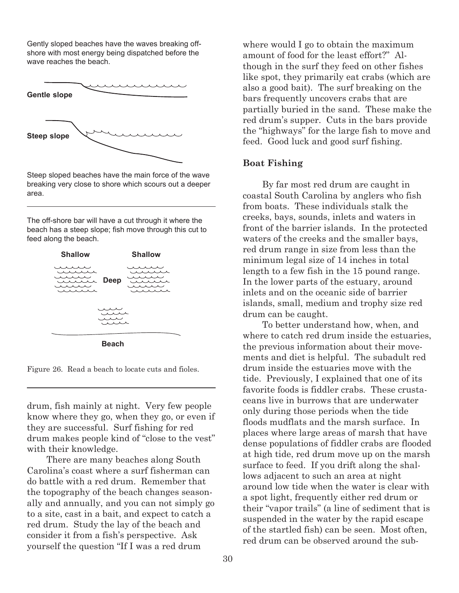Gently sloped beaches have the waves breaking offshore with most energy being dispatched before the wave reaches the beach.



Steep sloped beaches have the main force of the wave breaking very close to shore which scours out a deeper area.

The off-shore bar will have a cut through it where the beach has a steep slope; fish move through this cut to feed along the beach.



Figure 26. Read a beach to locate cuts and fioles.

drum, fish mainly at night. Very few people know where they go, when they go, or even if they are successful. Surf fishing for red drum makes people kind of "close to the vest" with their knowledge.

There are many beaches along South Carolina's coast where a surf fisherman can do battle with a red drum. Remember that the topography of the beach changes seasonally and annually, and you can not simply go to a site, cast in a bait, and expect to catch a red drum. Study the lay of the beach and consider it from a fish's perspective. Ask yourself the question "If I was a red drum

where would I go to obtain the maximum amount of food for the least effort?" Although in the surf they feed on other fishes like spot, they primarily eat crabs (which are also a good bait). The surf breaking on the bars frequently uncovers crabs that are partially buried in the sand. These make the red drum's supper. Cuts in the bars provide the "highways" for the large fish to move and feed. Good luck and good surf fishing.

#### **Boat Fishing**

By far most red drum are caught in coastal South Carolina by anglers who fish from boats. These individuals stalk the creeks, bays, sounds, inlets and waters in front of the barrier islands. In the protected waters of the creeks and the smaller bays, red drum range in size from less than the minimum legal size of 14 inches in total length to a few fish in the 15 pound range. In the lower parts of the estuary, around inlets and on the oceanic side of barrier islands, small, medium and trophy size red drum can be caught.

To better understand how, when, and where to catch red drum inside the estuaries, the previous information about their movements and diet is helpful. The subadult red drum inside the estuaries move with the tide. Previously, I explained that one of its favorite foods is fiddler crabs. These crustaceans live in burrows that are underwater only during those periods when the tide floods mudflats and the marsh surface. In places where large areas of marsh that have dense populations of fiddler crabs are flooded at high tide, red drum move up on the marsh surface to feed. If you drift along the shallows adjacent to such an area at night around low tide when the water is clear with a spot light, frequently either red drum or their "vapor trails" (a line of sediment that is suspended in the water by the rapid escape of the startled fish) can be seen. Most often, red drum can be observed around the sub-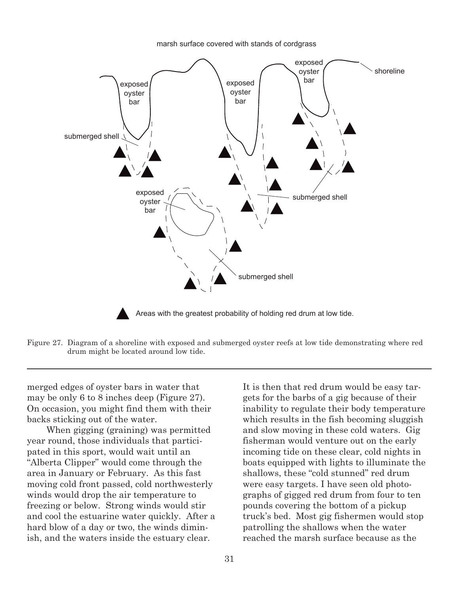submerged shell exposed oyster bar exposed oyster exposed  $\bigcup$  bar oyster bar exposed oyster bar submerged shell submerged shell shoreline Areas with the greatest probability of holding red drum at low tide.

marsh surface covered with stands of cordgrass

Figure 27. Diagram of a shoreline with exposed and submerged oyster reefs at low tide demonstrating where red drum might be located around low tide.

merged edges of oyster bars in water that may be only 6 to 8 inches deep (Figure 27). On occasion, you might find them with their backs sticking out of the water.

When gigging (graining) was permitted year round, those individuals that participated in this sport, would wait until an "Alberta Clipper" would come through the area in January or February. As this fast moving cold front passed, cold northwesterly winds would drop the air temperature to freezing or below. Strong winds would stir and cool the estuarine water quickly. After a hard blow of a day or two, the winds diminish, and the waters inside the estuary clear.

It is then that red drum would be easy targets for the barbs of a gig because of their inability to regulate their body temperature which results in the fish becoming sluggish and slow moving in these cold waters. Gig fisherman would venture out on the early incoming tide on these clear, cold nights in boats equipped with lights to illuminate the shallows, these "cold stunned" red drum were easy targets. I have seen old photographs of gigged red drum from four to ten pounds covering the bottom of a pickup truck's bed. Most gig fishermen would stop patrolling the shallows when the water reached the marsh surface because as the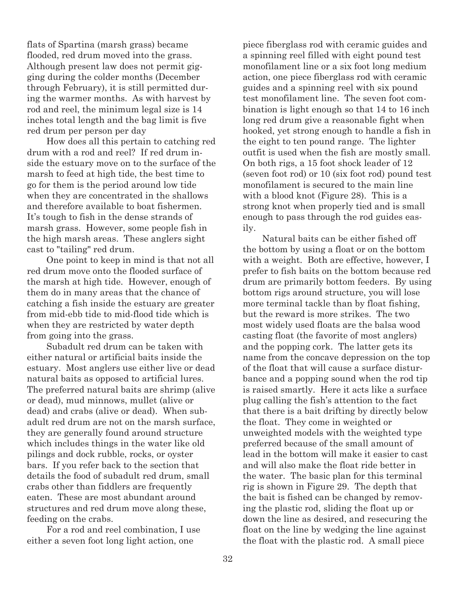flats of Spartina (marsh grass) became flooded, red drum moved into the grass. Although present law does not permit gigging during the colder months (December through February), it is still permitted during the warmer months. As with harvest by rod and reel, the minimum legal size is 14 inches total length and the bag limit is five red drum per person per day

How does all this pertain to catching red drum with a rod and reel? If red drum inside the estuary move on to the surface of the marsh to feed at high tide, the best time to go for them is the period around low tide when they are concentrated in the shallows and therefore available to boat fishermen. It's tough to fish in the dense strands of marsh grass. However, some people fish in the high marsh areas. These anglers sight cast to "tailing" red drum.

One point to keep in mind is that not all red drum move onto the flooded surface of the marsh at high tide. However, enough of them do in many areas that the chance of catching a fish inside the estuary are greater from mid-ebb tide to mid-flood tide which is when they are restricted by water depth from going into the grass.

Subadult red drum can be taken with either natural or artificial baits inside the estuary. Most anglers use either live or dead natural baits as opposed to artificial lures. The preferred natural baits are shrimp (alive or dead), mud minnows, mullet (alive or dead) and crabs (alive or dead). When subadult red drum are not on the marsh surface, they are generally found around structure which includes things in the water like old pilings and dock rubble, rocks, or oyster bars. If you refer back to the section that details the food of subadult red drum, small crabs other than fiddlers are frequently eaten. These are most abundant around structures and red drum move along these, feeding on the crabs.

For a rod and reel combination, I use either a seven foot long light action, one

piece fiberglass rod with ceramic guides and a spinning reel filled with eight pound test monofilament line or a six foot long medium action, one piece fiberglass rod with ceramic guides and a spinning reel with six pound test monofilament line. The seven foot combination is light enough so that 14 to 16 inch long red drum give a reasonable fight when hooked, yet strong enough to handle a fish in the eight to ten pound range. The lighter outfit is used when the fish are mostly small. On both rigs, a 15 foot shock leader of 12 (seven foot rod) or 10 (six foot rod) pound test monofilament is secured to the main line with a blood knot (Figure 28). This is a strong knot when properly tied and is small enough to pass through the rod guides easily.

Natural baits can be either fished off the bottom by using a float or on the bottom with a weight. Both are effective, however, I prefer to fish baits on the bottom because red drum are primarily bottom feeders. By using bottom rigs around structure, you will lose more terminal tackle than by float fishing, but the reward is more strikes. The two most widely used floats are the balsa wood casting float (the favorite of most anglers) and the popping cork. The latter gets its name from the concave depression on the top of the float that will cause a surface disturbance and a popping sound when the rod tip is raised smartly. Here it acts like a surface plug calling the fish's attention to the fact that there is a bait drifting by directly below the float. They come in weighted or unweighted models with the weighted type preferred because of the small amount of lead in the bottom will make it easier to cast and will also make the float ride better in the water. The basic plan for this terminal rig is shown in Figure 29. The depth that the bait is fished can be changed by removing the plastic rod, sliding the float up or down the line as desired, and resecuring the float on the line by wedging the line against the float with the plastic rod. A small piece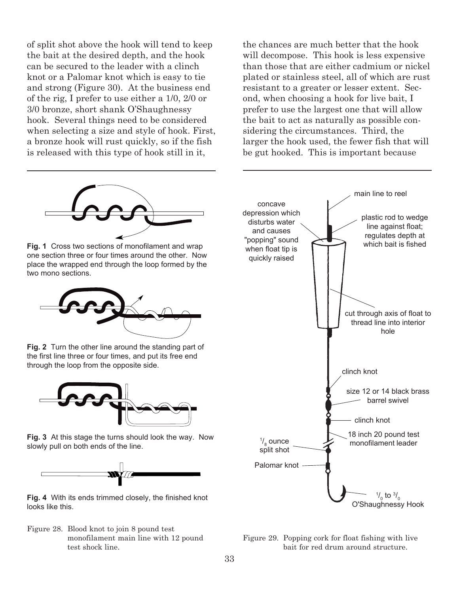of split shot above the hook will tend to keep the bait at the desired depth, and the hook can be secured to the leader with a clinch knot or a Palomar knot which is easy to tie and strong (Figure 30). At the business end of the rig, I prefer to use either a 1/0, 2/0 or 3/0 bronze, short shank O'Shaughnessy hook. Several things need to be considered when selecting a size and style of hook. First, a bronze hook will rust quickly, so if the fish is released with this type of hook still in it,



**Fig. 1** Cross two sections of monofilament and wrap one section three or four times around the other. Now place the wrapped end through the loop formed by the two mono sections.



**Fig. 2** Turn the other line around the standing part of the first line three or four times, and put its free end through the loop from the opposite side.



**Fig. 3** At this stage the turns should look the way. Now slowly pull on both ends of the line.



**Fig. 4** With its ends trimmed closely, the finished knot looks like this.

Figure 28. Blood knot to join 8 pound test monofilament main line with 12 pound test shock line.

the chances are much better that the hook will decompose. This hook is less expensive than those that are either cadmium or nickel plated or stainless steel, all of which are rust resistant to a greater or lesser extent. Second, when choosing a hook for live bait, I prefer to use the largest one that will allow the bait to act as naturally as possible considering the circumstances. Third, the larger the hook used, the fewer fish that will be gut hooked. This is important because



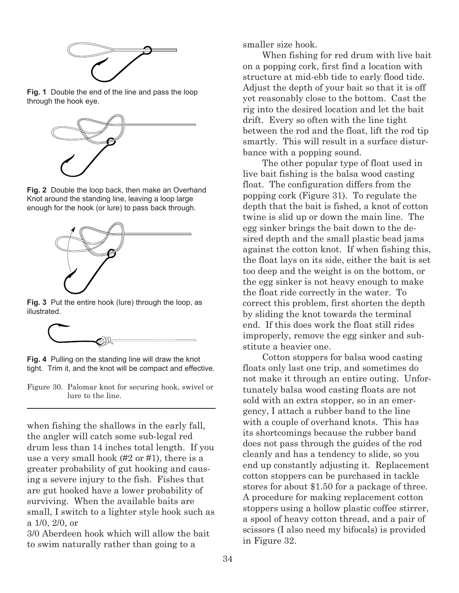

**Fig. 1** Double the end of the line and pass the loop through the hook eye.



**Fig. 2** Double the loop back, then make an Overhand Knot around the standing line, leaving a loop large enough for the hook (or lure) to pass back through.



**Fig. 3** Put the entire hook (lure) through the loop, as illustrated.



**Fig. 4** Pulling on the standing line will draw the knot tight. Trim it, and the knot will be compact and effective.

Figure 30. Palomar knot for securing hook, swivel or lure to the line.

when fishing the shallows in the early fall, the angler will catch some sub-legal red drum less than 14 inches total length. If you use a very small hook (#2 or #1), there is a greater probability of gut hooking and causing a severe injury to the fish. Fishes that are gut hooked have a lower probability of surviving. When the available baits are small, I switch to a lighter style hook such as a 1/0, 2/0, or

3/0 Aberdeen hook which will allow the bait to swim naturally rather than going to a

smaller size hook.

When fishing for red drum with live bait on a popping cork, first find a location with structure at mid-ebb tide to early flood tide. Adjust the depth of your bait so that it is off yet reasonably close to the bottom. Cast the rig into the desired location and let the bait drift. Every so often with the line tight between the rod and the float, lift the rod tip smartly. This will result in a surface disturbance with a popping sound.

The other popular type of float used in live bait fishing is the balsa wood casting float. The configuration differs from the popping cork (Figure 31). To regulate the depth that the bait is fished, a knot of cotton twine is slid up or down the main line. The egg sinker brings the bait down to the desired depth and the small plastic bead jams against the cotton knot. If when fishing this, the float lays on its side, either the bait is set too deep and the weight is on the bottom, or the egg sinker is not heavy enough to make the float ride correctly in the water. To correct this problem, first shorten the depth by sliding the knot towards the terminal end. If this does work the float still rides improperly, remove the egg sinker and substitute a heavier one.

Cotton stoppers for balsa wood casting floats only last one trip, and sometimes do not make it through an entire outing. Unfortunately balsa wood casting floats are not sold with an extra stopper, so in an emergency, I attach a rubber band to the line with a couple of overhand knots. This has its shortcomings because the rubber band does not pass through the guides of the rod cleanly and has a tendency to slide, so you end up constantly adjusting it. Replacement cotton stoppers can be purchased in tackle stores for about \$1.50 for a package of three. A procedure for making replacement cotton stoppers using a hollow plastic coffee stirrer, a spool of heavy cotton thread, and a pair of scissors (I also need my bifocals) is provided in Figure 32.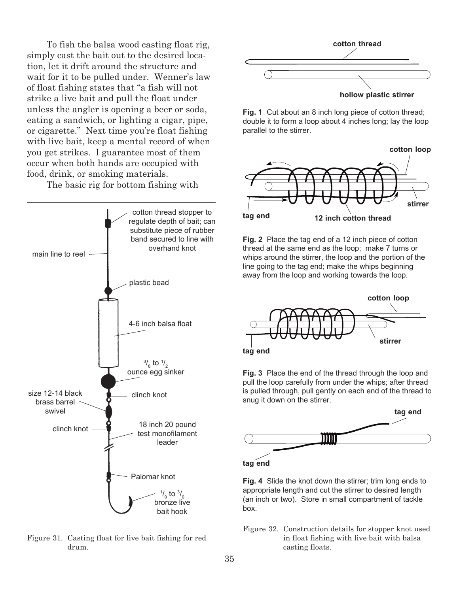To fish the balsa wood casting float rig, simply cast the bait out to the desired location, let it drift around the structure and wait for it to be pulled under. Wenner's law of float fishing states that "a fish will not strike a live bait and pull the float under unless the angler is opening a beer or soda, eating a sandwich, or lighting a cigar, pipe, or cigarette." Next time you're float fishing with live bait, keep a mental record of when you get strikes. I guarantee most of them occur when both hands are occupied with food, drink, or smoking materials.

The basic rig for bottom fishing with



Figure 31. Casting float for live bait fishing for red drum.



**hollow plastic stirrer**

**Fig. 1** Cut about an 8 inch long piece of cotton thread; double it to form a loop about 4 inches long; lay the loop parallel to the stirrer.



**Fig. 2** Place the tag end of a 12 inch piece of cotton thread at the same end as the loop; make 7 turns or whips around the stirrer, the loop and the portion of the line going to the tag end; make the whips beginning away from the loop and working towards the loop.



**Fig. 3** Place the end of the thread through the loop and pull the loop carefully from under the whips; after thread is pulled through, pull gently on each end of the thread to snug it down on the stirrer.



**Fig. 4** Slide the knot down the stirrer; trim long ends to appropriate length and cut the stirrer to desired length (an inch or two). Store in small compartment of tackle box.

Figure 32. Construction details for stopper knot used in float fishing with live bait with balsa casting floats.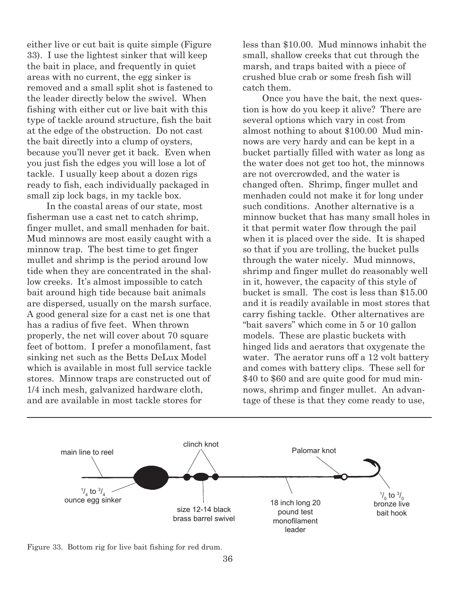either live or cut bait is quite simple (Figure 33). I use the lightest sinker that will keep the bait in place, and frequently in quiet areas with no current, the egg sinker is removed and a small split shot is fastened to the leader directly below the swivel. When fishing with either cut or live bait with this type of tackle around structure, fish the bait at the edge of the obstruction. Do not cast the bait directly into a clump of oysters, because you'll never get it back. Even when you just fish the edges you will lose a lot of tackle. I usually keep about a dozen rigs ready to fish, each individually packaged in small zip lock bags, in my tackle box.

In the coastal areas of our state, most fisherman use a cast net to catch shrimp, finger mullet, and small menhaden for bait. Mud minnows are most easily caught with a minnow trap. The best time to get finger mullet and shrimp is the period around low tide when they are concentrated in the shallow creeks. It's almost impossible to catch bait around high tide because bait animals are dispersed, usually on the marsh surface. A good general size for a cast net is one that has a radius of five feet. When thrown properly, the net will cover about 70 square feet of bottom. I prefer a monofilament, fast sinking net such as the Betts DeLux Model which is available in most full service tackle stores. Minnow traps are constructed out of 1/4 inch mesh, galvanized hardware cloth, and are available in most tackle stores for

less than \$10.00. Mud minnows inhabit the small, shallow creeks that cut through the marsh, and traps baited with a piece of crushed blue crab or some fresh fish will catch them.

Once you have the bait, the next question is how do you keep it alive? There are several options which vary in cost from almost nothing to about \$100.00 Mud minnows are very hardy and can be kept in a bucket partially filled with water as long as the water does not get too hot, the minnows are not overcrowded, and the water is changed often. Shrimp, finger mullet and menhaden could not make it for long under such conditions. Another alternative is a minnow bucket that has many small holes in it that permit water flow through the pail when it is placed over the side. It is shaped so that if you are trolling, the bucket pulls through the water nicely. Mud minnows, shrimp and finger mullet do reasonably well in it, however, the capacity of this style of bucket is small. The cost is less than \$15.00 and it is readily available in most stores that carry fishing tackle. Other alternatives are "bait savers" which come in 5 or 10 gallon models. These are plastic buckets with hinged lids and aerators that oxygenate the water. The aerator runs off a 12 volt battery and comes with battery clips. These sell for \$40 to \$60 and are quite good for mud minnows, shrimp and finger mullet. An advantage of these is that they come ready to use,



Figure 33. Bottom rig for live bait fishing for red drum.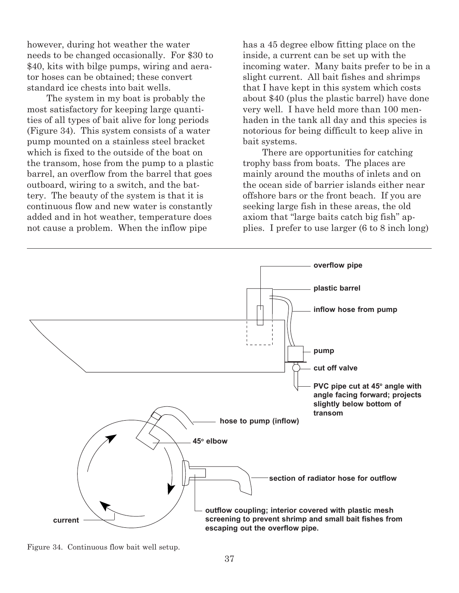however, during hot weather the water needs to be changed occasionally. For \$30 to \$40, kits with bilge pumps, wiring and aerator hoses can be obtained; these convert standard ice chests into bait wells.

The system in my boat is probably the most satisfactory for keeping large quantities of all types of bait alive for long periods (Figure 34). This system consists of a water pump mounted on a stainless steel bracket which is fixed to the outside of the boat on the transom, hose from the pump to a plastic barrel, an overflow from the barrel that goes outboard, wiring to a switch, and the battery. The beauty of the system is that it is continuous flow and new water is constantly added and in hot weather, temperature does not cause a problem. When the inflow pipe

has a 45 degree elbow fitting place on the inside, a current can be set up with the incoming water. Many baits prefer to be in a slight current. All bait fishes and shrimps that I have kept in this system which costs about \$40 (plus the plastic barrel) have done very well. I have held more than 100 menhaden in the tank all day and this species is notorious for being difficult to keep alive in bait systems.

There are opportunities for catching trophy bass from boats. The places are mainly around the mouths of inlets and on the ocean side of barrier islands either near offshore bars or the front beach. If you are seeking large fish in these areas, the old axiom that "large baits catch big fish" applies. I prefer to use larger (6 to 8 inch long)



Figure 34. Continuous flow bait well setup.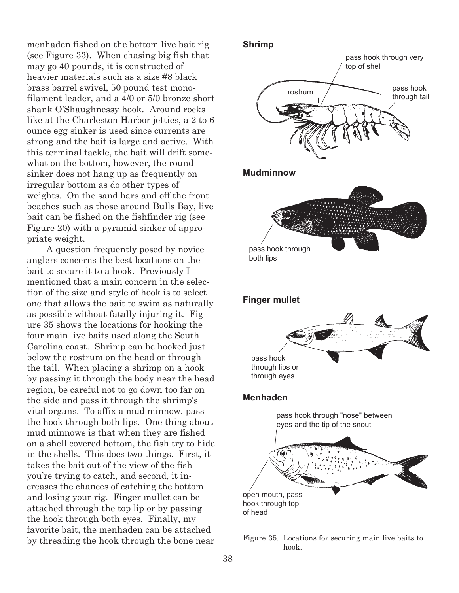menhaden fished on the bottom live bait rig (see Figure 33). When chasing big fish that may go 40 pounds, it is constructed of heavier materials such as a size #8 black brass barrel swivel, 50 pound test monofilament leader, and a 4/0 or 5/0 bronze short shank O'Shaughnessy hook. Around rocks like at the Charleston Harbor jetties, a 2 to 6 ounce egg sinker is used since currents are strong and the bait is large and active. With this terminal tackle, the bait will drift somewhat on the bottom, however, the round sinker does not hang up as frequently on irregular bottom as do other types of weights. On the sand bars and off the front beaches such as those around Bulls Bay, live bait can be fished on the fishfinder rig (see Figure 20) with a pyramid sinker of appropriate weight.

A question frequently posed by novice anglers concerns the best locations on the bait to secure it to a hook. Previously I mentioned that a main concern in the selection of the size and style of hook is to select one that allows the bait to swim as naturally as possible without fatally injuring it. Figure 35 shows the locations for hooking the four main live baits used along the South Carolina coast. Shrimp can be hooked just below the rostrum on the head or through the tail. When placing a shrimp on a hook by passing it through the body near the head region, be careful not to go down too far on the side and pass it through the shrimp's vital organs. To affix a mud minnow, pass the hook through both lips. One thing about mud minnows is that when they are fished on a shell covered bottom, the fish try to hide in the shells. This does two things. First, it takes the bait out of the view of the fish you're trying to catch, and second, it increases the chances of catching the bottom and losing your rig. Finger mullet can be attached through the top lip or by passing the hook through both eyes. Finally, my favorite bait, the menhaden can be attached by threading the hook through the bone near Figure 35. Locations for securing main live baits to



hook.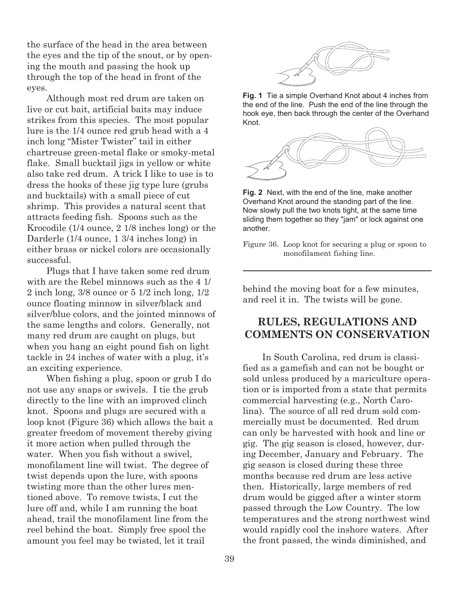the surface of the head in the area between the eyes and the tip of the snout, or by opening the mouth and passing the hook up through the top of the head in front of the eyes.

Although most red drum are taken on live or cut bait, artificial baits may induce strikes from this species. The most popular lure is the 1/4 ounce red grub head with a 4 inch long "Mister Twister" tail in either chartreuse green-metal flake or smoky-metal flake. Small bucktail jigs in yellow or white also take red drum. A trick I like to use is to dress the hooks of these jig type lure (grubs and bucktails) with a small piece of cut shrimp. This provides a natural scent that attracts feeding fish. Spoons such as the Krocodile (1/4 ounce, 2 1/8 inches long) or the Darderle (1/4 ounce, 1 3/4 inches long) in either brass or nickel colors are occasionally successful.

Plugs that I have taken some red drum with are the Rebel minnows such as the 4 1/ 2 inch long, 3/8 ounce or 5 1/2 inch long, 1/2 ounce floating minnow in silver/black and silver/blue colors, and the jointed minnows of the same lengths and colors. Generally, not many red drum are caught on plugs, but when you hang an eight pound fish on light tackle in 24 inches of water with a plug, it's an exciting experience.

When fishing a plug, spoon or grub I do not use any snaps or swivels. I tie the grub directly to the line with an improved clinch knot. Spoons and plugs are secured with a loop knot (Figure 36) which allows the bait a greater freedom of movement thereby giving it more action when pulled through the water. When you fish without a swivel, monofilament line will twist. The degree of twist depends upon the lure, with spoons twisting more than the other lures mentioned above. To remove twists, I cut the lure off and, while I am running the boat ahead, trail the monofilament line from the reel behind the boat. Simply free spool the amount you feel may be twisted, let it trail



**Fig. 1** Tie a simple Overhand Knot about 4 inches from the end of the line. Push the end of the line through the hook eye, then back through the center of the Overhand Knot.



**Fig. 2** Next, with the end of the line, make another Overhand Knot around the standing part of the line. Now slowly pull the two knots tight, at the same time sliding them together so they "jam" or lock against one another.

Figure 36. Loop knot for securing a plug or spoon to monofilament fishing line.

behind the moving boat for a few minutes, and reel it in. The twists will be gone.

## **RULES, REGULATIONS AND COMMENTS ON CONSERVATION**

In South Carolina, red drum is classified as a gamefish and can not be bought or sold unless produced by a mariculture operation or is imported from a state that permits commercial harvesting (e.g., North Carolina). The source of all red drum sold commercially must be documented. Red drum can only be harvested with hook and line or gig. The gig season is closed, however, during December, January and February. The gig season is closed during these three months because red drum are less active then. Historically, large members of red drum would be gigged after a winter storm passed through the Low Country. The low temperatures and the strong northwest wind would rapidly cool the inshore waters. After the front passed, the winds diminished, and